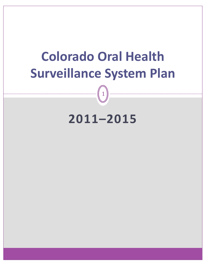# **Colorado Oral Health Surveillance System Plan**

# **2011–2015**

1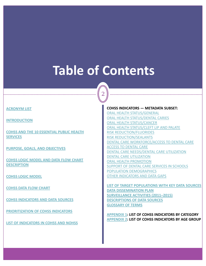# <span id="page-1-0"></span>**Table of Contents**

2

#### **[ACRONYM](#page-2-0) LIST**

**[INTRODUCTION](#page-3-0)**

**COHSS AND THE 10 [ESSENTIAL](#page-4-0) PUBLIC HEALTH [SERVICES](#page-4-0)**

**PURPOSE, GOALS, AND [OBJECTIVES](#page-5-0)**

**COHSS LOGIC [MODEL](#page-6-0) AND DATA FLOW CHART [DESCRIPTION](#page-6-0)**

**COHSS LOGIC [MODEL](#page-7-0)**

**COHSS DATA FLOW [CHART](#page-8-0)**

**COHSS [INDICATORS](#page-10-0) AND DATA SOURCES**

**[PRIORITIZATION](#page-11-0) OF COHSS INDICATORS**

**LIST OF [INDICATORS](#page-12-0) IN COHSS AND NOHSS**

#### **COHSS INDICATORS — METADATA SUBSET:**

ORAL HEALTH [STATUS/GENERAL](#page-13-0) ORAL HEALTH [STATUS/DENTAL](#page-14-0) CARIES ORAL HEALTH [STATUS/CANCER](#page-15-0) ORAL HEALTH [STATUS/CLEFT](#page-16-0) LIP AND PALATE RISK [REDUCTION/FLUORIDES](#page-17-0) RISK [REDUCTION/SEALANTS](#page-18-0) DENTAL CARE [WORKFORCE/ACCESS](#page-19-0) TO DENTAL CARE ACCESS TO [DENTAL](#page-22-0) CARE DENTAL CARE [NEEDS/DENTAL](#page-23-0) CARE UTILIZATION DENTAL CARE [UTILIZATION](#page-24-0) ORAL HEALTH [PROMOTION](#page-26-0) SUPPORT OF DENTAL CARE SERVICES IN [SCHOOLS](#page-26-0) POPULATION [DEMOGRAPHICS](#page-27-0) OTHER [INDICATORS](#page-31-0) AND DATA GAPS

**LIST OF TARGET [POPULATIONS](#page-32-0) WITH KEY DATA SOURCES DATA [DISSEMINATION](#page-34-0) PLAN [SURVEILLANCE](#page-35-0) ACTIVITIES (2011–2015) [DESCRIPTIONS](#page-36-0) OF DATA SOURCES [GLOSSARY](#page-38-0) OF TERMS**

**[APPENDIX](#page-39-0) 1: LIST OF COHSS INDICATORS BY CATEGORY [APPENDIX](#page-46-0) 2: LIST OF COHSS INDICATORS BY AGE GROUP**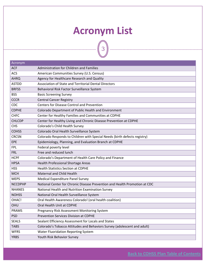### **Acronym List**

3

<span id="page-2-0"></span>

| Acronym        |                                                                            |
|----------------|----------------------------------------------------------------------------|
| <b>ACF</b>     | Administration for Children and Families                                   |
| <b>ACS</b>     | American Communities Survey (U.S. Census)                                  |
| <b>AHRQ</b>    | Agency for Healthcare Research and Quality                                 |
| <b>ASTDD</b>   | Association of State and Territorial Dental Directors                      |
| <b>BRFSS</b>   | Behavioral Risk Factor Surveillance System                                 |
| <b>BSS</b>     | <b>Basic Screening Survey</b>                                              |
| <b>CCCR</b>    | <b>Central Cancer Registry</b>                                             |
| <b>CDC</b>     | <b>Centers for Disease Control and Prevention</b>                          |
| <b>CDPHE</b>   | Colorado Department of Public Health and Environment                       |
| <b>CHFC</b>    | Center for Healthy Families and Communities at CDPHE                       |
| <b>CHLCDP</b>  | Center for Healthy Living and Chronic Disease Prevention at CDPHE          |
| <b>CHS</b>     | Colorado's Child Health Survey                                             |
| <b>COHSS</b>   | Colorado Oral Health Surveillance System                                   |
| <b>CRCSN</b>   | Colorado Responds to Children with Special Needs (birth defects registry)  |
| EPE            | Epidemiology, Planning, and Evaluation Branch at CDPHE                     |
| <b>FPL</b>     | Federal poverty level                                                      |
| <b>FRL</b>     | Free and reduced lunch                                                     |
| <b>HCPF</b>    | Colorado's Department of Health Care Policy and Finance                    |
| <b>HPSA</b>    | <b>Health Professional Shortage Areas</b>                                  |
| <b>HSS</b>     | <b>Health Statistics Section at CDPHE</b>                                  |
| <b>MCH</b>     | <b>Maternal and Child Health</b>                                           |
| <b>MEPS</b>    | Medical Expenditure Panel Survey                                           |
| <b>NCCDPHP</b> | National Center for Chronic Disease Prevention and Health Promotion at CDC |
| <b>NHANES</b>  | National Health and Nutrition Examination Survey                           |
| <b>NOHSS</b>   | National Oral Health Surveillance System                                   |
| OHAC!          | Oral Health Awareness Colorado! (oral health coalition)                    |
| OHU            | Oral Health Unit at CDPHE                                                  |
| <b>PRAMS</b>   | Pregnancy Risk Assessment Monitoring System                                |
| <b>PSD</b>     | <b>Prevention Services Division at CDPHE</b>                               |
| <b>SEALS</b>   | Sealant Efficiency Assessment for Locals and States                        |
| <b>TABS</b>    | Colorado's Tobacco Attitudes and Behaviors Survey (adolescent and adult)   |
| <b>WFRS</b>    | <b>Water Fluoridation Reporting System</b>                                 |
| <b>YRBS</b>    | Youth Risk Behavior Survey                                                 |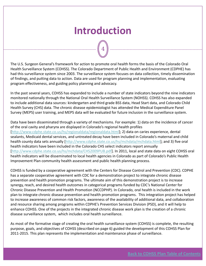### **Introduction**

4

<span id="page-3-0"></span>The U.S. Surgeon General's framework for action to promote oral health forms the basis of the Colorado Oral Health Surveillance System (COHSS). The Colorado Department of Public Health and Environment (CDPHE) has had this surveillance system since 2003. The surveillance system focuses on data collection, timely dissemination of findings, and putting data to action. Data are used for program planning and implementation, evaluating program effectiveness, and guiding policy planning and advocacy.

In the past several years, COHSS has expanded to include a number of state indicators beyond the nine indicators monitored nationally through the National Oral Health Surveillance System (NOHSS). COHSS has also expanded to include additional data sources: kindergarten and third grade BSS data, Head Start data, and Colorado Child Health Survey (CHS) data. The chronic disease epidemiologist has attended the Medical Expenditure Panel Survey (MEPS) user training, and MEPS data will be evaluated for future inclusion in the surveillance system.

Data have been disseminated through a variety of mechanisms. For example: 1) data on the incidence of cancer of the oral cavity and pharynx are displayed in Colorado's regional health profiles [<http://www.cdphe.state.co.us/hs/regionaldata/regionaldata.html>]; 2) data on caries experience, dental sealants, Medicaid dental services, and untreated decay have been included in Colorado's maternal and child health county data sets annually [<http://www.cdphe.state.co.us/hs/mchdata/mchdata.html>]; and 3) five oral health indicators have been included in the Colorado CHS select indicators report annually [[http://www.cdphe.state.co.us/hs/mchdata/CHS2009PUB.pdf\]](http://www.cdphe.state.co.us/hs/mchdata/CHS2009PUB.pdf). In 2011, local and state data on eight COHSS oral health indicators will be disseminated to local health agencies in Colorado as part of Colorado's Public Health Improvement Plan community health assessment and public health planning process.

COHSS is funded by a cooperative agreement with the Centers for Disease Control and Prevention (CDC). CDPHE has a separate cooperative agreement with CDC for a demonstration project to integrate chronic disease prevention and health promotion programs. The ultimate aim of this demonstration project is to increase synergy, reach, and desired health outcomes in categorical programs funded by CDC's National Center for Chronic Disease Prevention and Health Promotion (NCCDPHP). In Colorado, oral health is included in the work plan to integrate chronic disease prevention and health promotion programs. This integration project has helped to increase awareness of common risk factors, awareness of the availability of additional data, and collaboration and resource sharing among programs within CDPHE's Prevention Services Division (PSD), and it will help to enhance COHSS. One of the projects in the integrated chronic disease work plan is the creation of a chronic disease surveillance system, which includes oral health surveillance.

As most of the formative stage of creating the oral health surveillance system (COHSS) is complete, the resulting purpose, goals, and objectives of COHSS (described on page 6) guided the development of this COHSS Plan for 2011‐2015. This plan represents the implementation and maintenance phase of surveillance.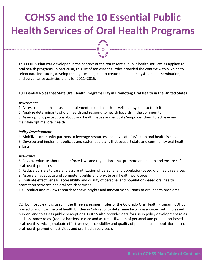### <span id="page-4-0"></span>**COHSS and the 10 Essential Public Health Services of Oral Health Programs**

5

This COHSS Plan was developed in the context of the ten essential public health services as applied to oral health programs. In particular, this list of ten essential roles provided the context within which to select data indicators, develop the logic model, and to create the data analysis, data dissemination, and surveillance activities plans for 2011–2015.

#### **10 Essential Roles that State Oral Health Programs Play in Promoting Oral Health in the United States**

#### *Assessment*

1. Assess oral health status and implement an oral health surveillance system to track it

2. Analyze determinants of oral health and respond to health hazards in the community

3. Assess public perceptions about oral health issues and educate/empower them to achieve and maintain optimal oral health

#### *Policy Development*

4. Mobilize community partners to leverage resources and advocate for/act on oral health issues

5. Develop and implement policies and systematic plans that support state and community oral health efforts

#### *Assurance*

6. Review, educate about and enforce laws and regulations that promote oral health and ensure safe oral health practices

7. Reduce barriers to care and assure utilization of personal and population‐based oral health services

8. Assure an adequate and competent public and private oral health workforce

9. Evaluate effectiveness, accessibility and quality of personal and population‐based oral health promotion activities and oral health services

10. Conduct and review research for new insights and innovative solutions to oral health problems.

COHSS most clearly is used in the three assessment roles of the Colorado Oral Health Program. COHSS is used to monitor the oral health burden in Colorado, to determine factors associated with increased burden, and to assess public perceptions. COHSS also provides data for use in policy development roles and assurance roles (reduce barriers to care and assure utilization of personal and population‐based oral health services; evaluate effectiveness, accessibility and quality of personal and population‐based oral health promotion activities and oral health services ).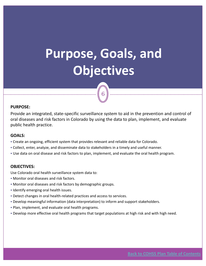# <span id="page-5-0"></span>**Purpose, Goals, and Objectives**

6

#### **PURPOSE:**

Provide an integrated, state‐specific surveillance system to aid in the prevention and control of oral diseases and risk factors in Colorado by using the data to plan, implement, and evaluate public health practice.

#### **GOALS:**

- Create an ongoing, efficient system that provides relevant and reliable data for Colorado.
- Collect, enter, analyze, and disseminate data to stakeholders in a timely and useful manner.
- Use data on oral disease and risk factors to plan, implement, and evaluate the oral health program.

#### **OBJECTIVES:**

Use Colorado oral health surveillance system data to:

- Monitor oral diseases and risk factors.
- Monitor oral diseases and risk factors by demographic groups.
- **Identify emerging oral health issues.**
- Detect changes in oral health-related practices and access to services.
- Develop meaningful information (data interpretation) to inform and support stakeholders.
- Plan, implement, and evaluate oral health programs.
- Develop more effective oral health programs that target populations at high risk and with high need.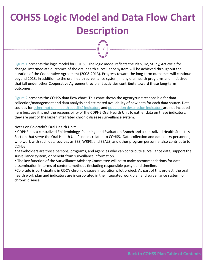## <span id="page-6-0"></span>**COHSS Logic Model and Data Flow Chart Description**

7

[Figure](#page-7-0) 1 presents the logic model for COHSS. The logic model reflects the Plan, Do, Study, Act cycle for change. Intermediate outcomes of the oral health surveillance system will be achieved throughout the duration of the Cooperative Agreement (2008‐2013). Progress toward the long‐term outcomes will continue beyond 2013. In addition to the oral health surveillance system, many oral health programs and initiatives that fall under other Cooperative Agreement recipient activities contribute toward these long‐term outcomes.

[Figure](#page-8-0) 2 presents the COHSS data flow chart. This chart shows the agency/unit responsible for data collection/management and data analysis and estimated availability of new data for each data source. Data sources for other (not oral health specific) [indicators](#page-31-0) and population [description](#page-27-0) indicators are not included here because it is not the responsibility of the CDPHE Oral Health Unit to gather data on these indicators; they are part of the larger, integrated chronic disease surveillance system.

Notes on Colorado's Oral Health Unit:

- CDPHE has a centralized Epidemiology, Planning, and Evaluation Branch and a centralized Health Statistics Section that serve the Oral Health Unit's needs related to COHSS. Data collection and data entry personnel, who work with such data sources as BSS, WRFS, and SEALS, and other program personnel also contribute to COHSS.
- Stakeholders are those persons, programs, and agencies who can contribute surveillance data, support the surveillance system, or benefit from surveillance information.
- The key function of the Surveillance Advisory Committee will be to make recommendations for data dissemination in terms of content, methods (including responsible party), and timeline.
- Colorado is participating in CDC's chronic disease integration pilot project. As part of this project, the oral health work plan and indicators are incorporated in the integrated work plan and surveillance system for chronic disease.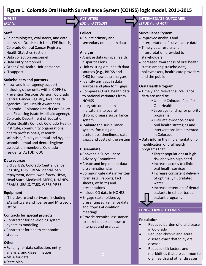#### <span id="page-7-0"></span>**Figure 1: Colorado Oral Health Surveillance System (COHSS) logic model, 2011‐2015**

#### **INPUTS** *(PLAN)*

#### **Staff**

- Epidemiologists, evaluators, and data analysts – Oral Health Unit, EPE Branch, Colorado Central Cancer Registry, Health Statistics Section
- Data collection personnel
- Data entry personnel
- Other Oral Health Unit personnel
- IT support

#### **Stakeholders and partners**

• Intra‐ and inter‐agency support, including other units within CDPHE's Prevention Services Division, Colorado Central Cancer Registry, local health agencies, Oral Health Awareness Colorado!, Colorado Health Care Policy and Financing (state Medicaid agency), Colorado Department of Education, Water Quality Control, Colorado Health Institute, community organizations, health professionals, research scientists, faculty at dental and hygiene schools, dental and dental hygiene association members, Colorado residents, ASTDD, CDC

#### **Data sources**

BRFSS, BSS, Colorado Central Cancer Registry, CHS, CRCSN, dental loan repayment, dental workforce/ HPSA, Head Start, Medicaid, MEPS, NHANES, PRAMS, SEALS, TABS, WFRS, YRBS

#### **Equipment**

IT hardware and software, including SAS software and license and Microsoft **Office** 

#### **Contracts for special projects**

- Contractor for developing system dynamics modeling
- Contractor for health economics studies

#### **Other**

- Funding for data collection, entry, analysis, and dissemination
- •MOA for data
- State plan

#### **ACTIVITIES** *(DO and STUDY)*

#### **Collect**

• Collect primary and secondary oral health data

#### **Analyze**

- Analyze data using a health disparities lens
- Link existing oral health data sources (e.g., BRFSS and CHS) for new data analyses
- Identify any gaps in data sources and plan to fill gaps
- Compare CO oral health data to national estimates from **NOHSS**
- Integrate oral health indicators into overall chronic disease surveillance system
- Evaluate the surveillance system, focusing on usefulness, timeliness, data gaps, and costs of the system

#### **Disseminate**

- Convene a Surveillance Advisory Committee
- Create and implement data dissemination plan
- Communicate data in written form (e.g., reports, fact sheets, website) and presentations
- Include CO data in NOHSS
- Engage stakeholders by presenting surveillance data and topics at coalition meetings
- Provide technical assistance to stakeholders on how to interpret and use data

#### **INTERMEDIATE OUTCOMES** *(STUDY and ACT)*

#### **Surveillance System**

- Improved analysis and interpretation of surveillance data
- Timely data results and interpretation provided to stakeholders
- Increased awareness of oral health status among stakeholders, policymakers, health care providers, and the public

#### **Oral Health Program**

- Timely and relevant surveillance data are used to:
	- Update Colorado Plan for Oral Health
	- Leverage funding for priority programs
	- Evaluate evidence‐based oral health strategies and interventions implemented in Colorado
- •Data inform the implementation or modification of oral health programs that:
	- Target populations at high risk and with high need
	- Increase access to clinical oral health services
	- **Increase consistent delivery** of optimally fluoridated water
	- Increase retention of dental sealants in school‐based sealant programs

#### **LONG‐TERM OUTCOMES**

#### **Population**

- Reduced burden of oral disease in Colorado
- Reduced chronic and acute disease exacerbated by oral disease
- Reduced risk factors and morbidities that are common to oral health and other diseases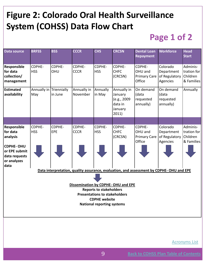### <span id="page-8-0"></span>**Figure 2: Colorado Oral Health Surveillance System (COHSS) Data Flow Chart**

### **Page 1 of 2**

| <b>Data source</b>                                                        | <b>BRFSS</b>                   | <b>BSS</b>           | <b>CCCR</b>             | <b>CHS</b>                                                   | <b>CRCSN</b>                                                         | <b>Dental Loan</b><br><b>Repayment</b>             | <b>Workforce</b>                                                                        | <b>Head</b><br><b>Start</b>                       |
|---------------------------------------------------------------------------|--------------------------------|----------------------|-------------------------|--------------------------------------------------------------|----------------------------------------------------------------------|----------------------------------------------------|-----------------------------------------------------------------------------------------|---------------------------------------------------|
| Responsible<br>for data<br>collection/<br>management                      | CDPHE-<br><b>HSS</b>           | CDPHE-<br><b>OHU</b> | CDPHE-<br><b>CCCR</b>   | CDPHE-<br><b>HSS</b>                                         | CDPHE-<br><b>CHFC</b><br>(CRCSN)                                     | CDPHE-<br>OHU and<br><b>Primary Care</b><br>Office | Colorado<br>Department<br>of Regulatory<br>Agencies                                     | Adminis-<br>tration for<br>Children<br>& Families |
| <b>Estimated</b><br>availability                                          | Annually in Triennially<br>May | in June              | Annually in<br>November | Annually<br>in May                                           | Annually in<br>January<br>(e.g., 2009<br>data in<br>January<br>2011) | On demand<br>(data<br>requested<br>annually)       | On demand<br>(data<br>requested<br>annually)                                            | Annually                                          |
|                                                                           |                                |                      |                         |                                                              |                                                                      |                                                    |                                                                                         |                                                   |
| Responsible<br>for data<br>analysis                                       | CDPHE-<br><b>HSS</b>           | CDPHE-<br>EPE        | CDPHE-<br><b>CCCR</b>   | CDPHE-<br><b>HSS</b>                                         | CDPHE-<br><b>CHFC</b><br>(CRCSN)                                     | CDPHE-<br>OHU and<br><b>Primary Care</b><br>Office | Colorado<br>Department<br>of Regulatory<br>Agencies                                     | Adminis-<br>tration for<br>Children<br>& Families |
| <b>CDPHE-OHU</b><br>or EPE submit<br>data requests<br>or analyzes<br>data |                                |                      |                         |                                                              |                                                                      |                                                    |                                                                                         |                                                   |
|                                                                           |                                |                      |                         |                                                              |                                                                      |                                                    | Data interpretation, quality assurance, evaluation, and assessment by CDPHE-OHU and EPE |                                                   |
|                                                                           |                                |                      |                         |                                                              |                                                                      |                                                    |                                                                                         |                                                   |
|                                                                           |                                |                      |                         | <b>Reports to stakeholders</b>                               | Dissemination by CDPHE-OHU and EPE                                   |                                                    |                                                                                         |                                                   |
|                                                                           |                                |                      |                         | <b>Presentations to stakeholders</b><br><b>CDPHE</b> website |                                                                      |                                                    |                                                                                         |                                                   |
|                                                                           |                                |                      |                         | <b>National reporting systems</b>                            |                                                                      |                                                    |                                                                                         |                                                   |
|                                                                           |                                |                      |                         |                                                              |                                                                      |                                                    |                                                                                         |                                                   |
|                                                                           |                                |                      |                         |                                                              |                                                                      |                                                    |                                                                                         |                                                   |

[Acronyms](#page-2-0) List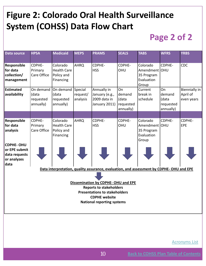### **Figure 2: Colorado Oral Health Surveillance System (COHSS) Data Flow Chart**

### **Page 2 of 2**

| <b>Data source</b>                                      | <b>HPSA</b>                                  | <b>Medicaid</b>                                           | <b>MEPS</b>                     | <b>PRAMS</b>                                                                            | <b>SEALS</b>                                    | <b>TABS</b>                                                    | <b>WFRS</b>                                     | <b>YRBS</b>                             |
|---------------------------------------------------------|----------------------------------------------|-----------------------------------------------------------|---------------------------------|-----------------------------------------------------------------------------------------|-------------------------------------------------|----------------------------------------------------------------|-------------------------------------------------|-----------------------------------------|
| Responsible<br>for data<br>collection/<br>management    | CDPHE-<br>Primary<br>Care Office             | Colorado<br><b>Health Care</b><br>Policy and<br>Financing | <b>AHRQ</b>                     | CDPHE-<br><b>HSS</b>                                                                    | CDPHE-<br>OHU                                   | Colorado<br>Amendment OHU<br>35 Program<br>Evaluation<br>Group | CDPHE-                                          | CDC                                     |
| <b>Estimated</b><br>availability                        | On demand<br>(data<br>requested<br>annually) | On demand<br>(data<br>requested<br>annually)              | Special<br>request/<br>analysis | Annually in<br>January (e.g.,<br>2009 data in<br>January 2011)                          | On<br>demand<br>(data<br>requested<br>annually) | Current<br>break in<br>schedule                                | On<br>demand<br>(data<br>requested<br>annually) | Biennially in<br>April of<br>even years |
|                                                         |                                              |                                                           |                                 |                                                                                         |                                                 |                                                                |                                                 |                                         |
| Responsible<br>for data<br>analysis<br><b>CDPHE-OHU</b> | CDPHE-<br>Primary<br>Care Office             | Colorado<br><b>Health Care</b><br>Policy and<br>Financing | <b>AHRQ</b>                     | CDPHE-<br><b>HSS</b>                                                                    | CDPHE-<br>OHU                                   | Colorado<br>Amendment OHU<br>35 Program<br>Evaluation<br>Group | CDPHE-                                          | CDPHE-<br>EPE                           |
| or EPE submit<br>data requests<br>or analyzes<br>data   |                                              |                                                           |                                 |                                                                                         |                                                 |                                                                |                                                 |                                         |
|                                                         |                                              |                                                           |                                 | Data interpretation, quality assurance, evaluation, and assessment by CDPHE-OHU and EPE |                                                 |                                                                |                                                 |                                         |
|                                                         |                                              |                                                           |                                 |                                                                                         |                                                 |                                                                |                                                 |                                         |
|                                                         |                                              |                                                           |                                 | Dissemination by CDPHE-OHU and EPE                                                      |                                                 |                                                                |                                                 |                                         |
|                                                         |                                              |                                                           |                                 | <b>Reports to stakeholders</b>                                                          |                                                 |                                                                |                                                 |                                         |
|                                                         |                                              |                                                           |                                 | <b>Presentations to stakeholders</b><br><b>CDPHE</b> website                            |                                                 |                                                                |                                                 |                                         |
|                                                         |                                              |                                                           |                                 | <b>National reporting systems</b>                                                       |                                                 |                                                                |                                                 |                                         |
|                                                         |                                              |                                                           |                                 |                                                                                         |                                                 |                                                                |                                                 |                                         |
|                                                         |                                              |                                                           |                                 |                                                                                         |                                                 |                                                                |                                                 |                                         |
|                                                         |                                              |                                                           |                                 |                                                                                         |                                                 |                                                                |                                                 |                                         |

[Acronyms](#page-2-0) List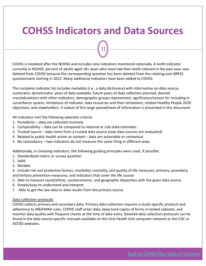### <span id="page-10-0"></span>**COHSS Indicators and Data Sources**

11

COHSS is modeled after the NOHSS and includes nine indicators monitored nationally. A tenth indicator currently in NOHSS, percent of adults aged 18+ years who have had their teeth cleaned in the past year, was deleted from COHSS because the corresponding question has been deleted from the rotating core BRFSS questionnaire starting in 2012. Many additional indicators have been added to COHSS.

The complete indicator list includes metadata (i.e., a data dictionary) with information on data source, numerator, denominator, years of data available, future years of data collection planned, desired crosstabulations with other indicators, demographic groups represented, significance/reason for including in surveillance system, limitations of indicator, data resources and their limitations, related Healthy People 2020 objectives, and stakeholders. A subset of this large spreadsheet of information is presented in this document.

All indicators met the following selection criteria:

- 1. Periodicity data are collected routinely
- 2. Comparability data can be compared to national or sub‐state estimates
- 3. Trusted source data come from a trusted data source (new data sources are evaluated)
- 4. Related to public health action or context data are actionable or contextual
- 5. No redundancy two indicators do not measure the same thing in different ways

Additionally, in choosing indicators, the following guiding principles were used, if possible:

- 1. Standardized metric or survey question
- 2. Valid
- 3. Reliable

4. Include risk and protective factors; morbidity, mortality, and quality of life measures; primary, secondary, and tertiary prevention measures; and indicators that cover the life course

- 5. Able to measure racial/ethnic, socioeconomic, and geographic disparities with the given data source
- 6. Simple/easy to understand and interpret
- 7. Able to get the raw data or data results from the primary source

#### Data collection protocols

COHSS collects primary and secondary data. Primary data collection requires a study‐specific protocol and adherence to IRB/HIPAA rules. CDPHE staff enter data, keep hard copies of forms in locked cabinets, and monitor data quality with frequent checks at the time of data entry. Detailed data collection protocols can be found in the data source‐specific manuals available on the Oral Health Unit computer network or the CDC or ASTDD websites.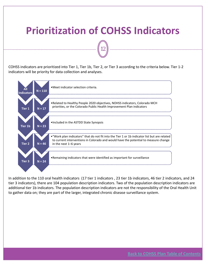### <span id="page-11-0"></span>**Prioritization of COHSS Indicators**

12

COHSS indicators are prioritized into Tier 1, Tier 1b, Tier 2, or Tier 3 according to the criteria below. Tier 1‐2 indicators will be priority for data collection and analyses.



In addition to the 110 oral health indicators (17 tier 1 indicators , 23 tier 1b indicators, 46 tier 2 indicators, and 24 tier 3 indicators), there are 104 population description indicators. Two of the population description indicators are additional tier 1b indicators. The population description indicators are not the responsibility of the Oral Health Unit to gather data on; they are part of the larger, integrated chronic disease surveillance system.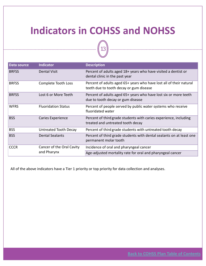### <span id="page-12-0"></span>**Indicators in COHSS and NOHSS**

 $13$ 

| Data source  | <b>Indicator</b>           | <b>Description</b>                                                                                             |
|--------------|----------------------------|----------------------------------------------------------------------------------------------------------------|
| <b>BRFSS</b> | <b>Dental Visit</b>        | Percent of adults aged 18+ years who have visited a dentist or<br>dental clinic in the past year               |
| <b>BRFSS</b> | Complete Tooth Loss        | Percent of adults aged 65+ years who have lost all of their natural<br>teeth due to tooth decay or gum disease |
| <b>BRFSS</b> | Lost 6 or More Teeth       | Percent of adults aged 65+ years who have lost six or more teeth<br>due to tooth decay or gum disease          |
| <b>WFRS</b>  | <b>Fluoridation Status</b> | Percent of people served by public water systems who receive<br>fluoridated water                              |
| <b>BSS</b>   | <b>Caries Experience</b>   | Percent of third grade students with caries experience, including<br>treated and untreated tooth decay         |
| <b>BSS</b>   | Untreated Tooth Decay      | Percent of third grade students with untreated tooth decay                                                     |
| <b>BSS</b>   | <b>Dental Sealants</b>     | Percent of third grade students with dental sealants on at least one<br>permanent molar tooth                  |
| <b>CCCR</b>  | Cancer of the Oral Cavity  | Incidence of oral and pharyngeal cancer                                                                        |
|              | and Pharynx                | Age-adjusted mortality rate for oral and pharyngeal cancer                                                     |

All of the above indicators have a Tier 1 priority or top priority for data collection and analyses.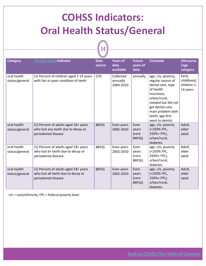## <span id="page-13-0"></span>**COHSS Indicators: Oral Health Status/General**



|                               |                                                                                                   | ー                     |                                    |                                   |                                                                                                                                                                                                               |                                                |
|-------------------------------|---------------------------------------------------------------------------------------------------|-----------------------|------------------------------------|-----------------------------------|---------------------------------------------------------------------------------------------------------------------------------------------------------------------------------------------------------------|------------------------------------------------|
| <b>Category</b>               | (Priority level) Indicator                                                                        | <b>Data</b><br>source | Years of<br>data<br>available      | <b>Future</b><br>years of<br>data | <b>Crosstabs</b>                                                                                                                                                                                              | <b>Lifecourse</b><br>/age<br>category          |
| oral health<br>status/general | (1) Percent of children aged 1-14 years<br>with fair or poor condition of teeth                   | <b>CHS</b>            | Collected<br>annually<br>2004-2010 | annually                          | age, r/e, poverty,<br>regular source of<br>dental care, type<br>of health<br>insurance,<br>urban/rural,<br>needed but did not<br>get dental care,<br>main problem with<br>teeth, age first<br>went to dentist | Early<br>childhood,<br>children 1-<br>14 years |
| oral health<br>status/general | (1) Percent of adults aged 18+ years<br>who lost any teeth due to decay or<br>periodontal disease | <b>BRFSS</b>          | Even years<br>2002-2010            | Even<br>years<br>(core<br>BRFSS)  | age, r/e, poverty<br>(<250% FPL,<br>250%+ FPL),<br>urban/rural,<br>diabetes                                                                                                                                   | Adult,<br>older<br>adult                       |
| oral health<br>status/general | (1) Percent of adults aged 18+ years<br>who lost 6+ teeth due to decay or<br>periodontal disease  | <b>BRFSS</b>          | Even years<br>2002-2010            | Even<br>years<br>(core<br>BRFSS)  | age, r/e, poverty<br>(<250% FPL,<br>250%+ FPL),<br>urban/rural,<br>diabetes                                                                                                                                   | Adult,<br>older<br>adult                       |
| oral health<br>status/general | (1) Percent of adults aged 18+ years<br>who lost all teeth due to decay or<br>periodontal disease | <b>BRFSS</b>          | Even years<br>2002-2010            | Even<br>years<br>(core<br>BRFSS)  | age, r/e, poverty<br>(<250% FPL,<br>250%+ FPL),<br>urban/rural,<br>diabetes                                                                                                                                   | Adult,<br>older<br>adult                       |

r/e = race/ethnicity; FPL = federal poverty level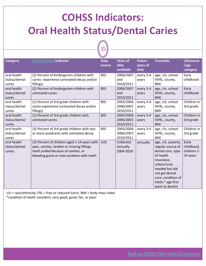# <span id="page-14-0"></span>**COHSS Indicators: Oral Health Status/Dental Caries**

15

| <b>Category</b>                        | (Priority level) Indicator                                                                                                                                                      | <b>Data</b><br>source | <b>Years of</b><br>data<br>available  | <b>Future</b><br>years of<br>data | <b>Crosstabs</b>                                                                                                                                                                                          | <b>Lifecourse</b><br>/age<br>category          |
|----------------------------------------|---------------------------------------------------------------------------------------------------------------------------------------------------------------------------------|-----------------------|---------------------------------------|-----------------------------------|-----------------------------------------------------------------------------------------------------------------------------------------------------------------------------------------------------------|------------------------------------------------|
| oral health<br>status/dental<br>caries | (2) Percent of kindergarten children with<br>caries experience (untreated decay and/or<br>fillings)                                                                             | <b>BSS</b>            | 2006/2007<br>and<br>2010/2011         | every 3-4<br>years                | age, r/e, school<br>%FRL, county,<br><b>BMI</b>                                                                                                                                                           | Early<br>childhood                             |
| oral health<br>status/dental<br>caries | (2) Percent of kindergarten children with<br>untreated caries                                                                                                                   | <b>BSS</b>            | 2006/2007<br>and<br>2010/2011         | every 3-4<br>years                | age, r/e, school<br>%FRL, county,<br><b>BMI</b>                                                                                                                                                           | Early<br>childhood                             |
| oral health<br>status/dental<br>caries | (1) Percent of 3rd grade children with<br>caries experience (untreated decay and/or<br>fillings)                                                                                | <b>BSS</b>            | 2003/2004,<br>2006/2007,<br>2010/2011 | every 3-4<br>vears                | age, r/e, school<br>%FRL, county,<br><b>BMI</b>                                                                                                                                                           | Children in<br>3rd grade                       |
| oral health<br>status/dental<br>caries | (1) Percent of 3rd grade children with<br>untreated caries                                                                                                                      | <b>BSS</b>            | 2003/2004,<br>2006/2007,<br>2010/2011 | every 3-4<br>years                | age, r/e, school<br>%FRL, county,<br><b>BMI</b>                                                                                                                                                           | Children in<br>3rd grade                       |
| oral health<br>status/dental<br>caries | (3) Percent of 3rd grade children with two<br>or more quadrants with untreated decay                                                                                            | <b>BSS</b>            | 2003/2004,<br>2006/2007,<br>2010/2011 | every 3-4<br>years                | age, r/e, school<br>%FRL, county,<br><b>BMI</b>                                                                                                                                                           | Children in<br>3rd grade                       |
| oral health<br>status/dental<br>caries | (2) Percent of children aged 1-14 years with<br>pain, cavities, broken or missing fillings,<br>teeth pulled because of cavities, or<br>bleeding gums as main problem with teeth | <b>CHS</b>            | Collected<br>annually<br>2004-2010    | annually                          | age, r/e, poverty,<br>regular source of<br>dental care, type<br>of health<br>insurance,<br>urban/rural,<br>needed but did<br>not get dental<br>care, condition of<br>teeth,* age first<br>went to dentist | Early<br>childhood,<br>children 1-<br>14 years |

 $r/e$  = race/ethnicity; FRL = free or reduced lunch; BMI = body mass index \*condition of teeth: excellent, very good, good, fair, or poor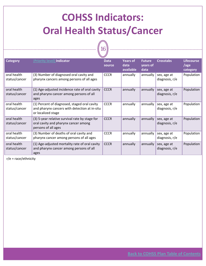## <span id="page-15-0"></span>**COHSS Indicators: Oral Health Status/Cancer**

 $\sqrt{16}$ 

| <b>Category</b>              | (Priority level) Indicator                                                                                          | <b>Data</b><br>source | <b>Years of</b><br>data<br>available | <b>Future</b><br>years of<br>data | <b>Crosstabs</b>                | <b>Lifecourse</b><br>/age<br>category |
|------------------------------|---------------------------------------------------------------------------------------------------------------------|-----------------------|--------------------------------------|-----------------------------------|---------------------------------|---------------------------------------|
| oral health<br>status/cancer | (3) Number of diagnosed oral cavity and<br>pharynx cancers among persons of all ages                                | <b>CCCR</b>           | annually                             | annually                          | sex, age at<br>diagnosis, $r/e$ | Population                            |
| oral health<br>status/cancer | (1) Age-adjusted incidence rate of oral cavity<br>and pharynx cancer among persons of all<br>ages                   | <b>CCCR</b>           | annually                             | annually                          | sex, age at<br>diagnosis, r/e   | Population                            |
| oral health<br>status/cancer | (1) Percent of diagnosed, staged oral cavity<br>and pharynx cancers with detection at in-situ<br>or localized stage | <b>CCCR</b>           | annually                             | annually                          | sex, age at<br>diagnosis, r/e   | Population                            |
| oral health<br>status/cancer | (3) 5-year relative survival rate by stage for<br>oral cavity and pharynx cancer among<br>persons of all ages       | <b>CCCR</b>           | annually                             | annually                          | sex, age at<br>diagnosis, r/e   | Population                            |
| oral health<br>status/cancer | (3) Number of deaths of oral cavity and<br>pharynx cancer among persons of all ages                                 | <b>CCCR</b>           | annually                             | annually                          | sex, age at<br>diagnosis, $r/e$ | Population                            |
| oral health<br>status/cancer | (1) Age-adjusted mortality rate of oral cavity<br>and pharynx cancer among persons of all<br>ages                   | <b>CCCR</b>           | annually                             | annually                          | sex, age at<br>diagnosis, r/e   | Population                            |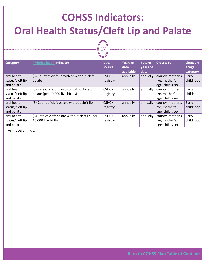# <span id="page-16-0"></span>**COHSS Indicators: Oral Health Status/Cleft Lip and Palate**

| 7<br>í |  |
|--------|--|
|        |  |

| <b>Category</b>  | (Priority level) Indicator                      | <b>Data</b><br>source | <b>Years of</b><br>data<br>available | <b>Future</b><br>years of<br>data | <b>Crosstabs</b> | Lifecours<br>e/age<br>category |
|------------------|-------------------------------------------------|-----------------------|--------------------------------------|-----------------------------------|------------------|--------------------------------|
| oral health      | (3) Count of cleft lip with or without cleft    | <b>CSHCN</b>          | annually                             | annually                          | county, mother's | Early                          |
| status/cleft lip | palate                                          | registry              |                                      |                                   | r/e, mother's    | childhood                      |
| and palate       |                                                 |                       |                                      |                                   | age, child's sex |                                |
| oral health      | (3) Rate of cleft lip with or without cleft     | <b>CSHCN</b>          | annually                             | annually                          | county, mother's | Early                          |
| status/cleft lip | palate (per 10,000 live births)                 | registry              |                                      |                                   | r/e, mother's    | childhood                      |
| and palate       |                                                 |                       |                                      |                                   | age, child's sex |                                |
| oral health      | (3) Count of cleft palate without cleft lip     | <b>CSHCN</b>          | annually                             | annually                          | county, mother's | Early                          |
| status/cleft lip |                                                 | registry              |                                      |                                   | r/e, mother's    | childhood                      |
| and palate       |                                                 |                       |                                      |                                   | age, child's sex |                                |
| oral health      | (3) Rate of cleft palate without cleft lip (per | <b>CSHCN</b>          | annually                             | annually                          | county, mother's | Early                          |
| status/cleft lip | 10,000 live births)                             | registry              |                                      |                                   | r/e, mother's    | childhood                      |
| and palate       |                                                 |                       |                                      |                                   | age, child's sex |                                |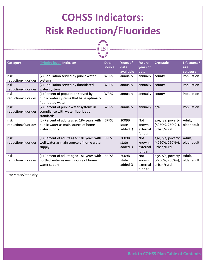## <span id="page-17-0"></span>**COHSS Indicators: Risk Reduction/Fluorides**



| <b>Category</b>             | (Priority level) Indicator                                                                           | <b>Data</b><br>source | <b>Years of</b><br>data<br>available | <b>Future</b><br>years of<br>data          | <b>Crosstabs</b>                                         | Lifecourse/<br>age<br>category |
|-----------------------------|------------------------------------------------------------------------------------------------------|-----------------------|--------------------------------------|--------------------------------------------|----------------------------------------------------------|--------------------------------|
| risk<br>reduction/fluorides | (2) Population served by public water<br>systems                                                     | <b>WFRS</b>           | annually                             | annually                                   | county                                                   | Population                     |
| risk<br>reduction/fluorides | (2) Population served by fluoridated<br>water system                                                 | <b>WFRS</b>           | annually                             | annually                                   | county                                                   | Population                     |
| risk<br>reduction/fluorides | (1) Percent of population served by<br>public water systems that have optimally<br>fluoridated water | <b>WFRS</b>           | annually                             | annually                                   | county                                                   | Population                     |
| risk<br>reduction/fluorides | (2) Percent of public water systems in<br>compliance with water fluoridation<br>standards            | <b>WFRS</b>           | annually                             | annually                                   | n/a                                                      | Population                     |
| risk<br>reduction/fluorides | (3) Percent of adults aged 18+ years with<br>public water as main source of home<br>water supply     | <b>BRFSS</b>          | 2009B<br>state<br>added Q            | <b>Not</b><br>known,<br>external<br>funder | age, r/e, poverty<br>$(<250\%, 250\%$ +),<br>urban/rural | Adult,<br>older adult          |
| risk<br>reduction/fluorides | (1) Percent of adults aged 18+ years with<br>well water as main source of home water<br>supply       | <b>BRFSS</b>          | 2009B<br>state<br>added Q            | <b>Not</b><br>known,<br>external<br>funder | age, r/e, poverty<br>$(<250\%, 250\%$ +),<br>urban/rural | Adult,<br>older adult          |
| risk<br>reduction/fluorides | (1) Percent of adults aged 18+ years with<br>bottled water as main source of home<br>water supply    | <b>BRFSS</b>          | 2009B<br>state<br>added Q            | <b>Not</b><br>known,<br>external<br>funder | age, r/e, poverty<br>$(<250\%, 250\%$ +),<br>urban/rural | Adult,<br>older adult          |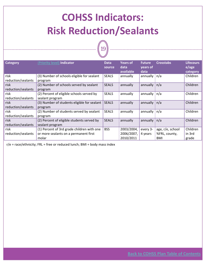## <span id="page-18-0"></span>**COHSS Indicators: Risk Reduction/Sealants**

19



 $r/e$  = race/ethnicity; FRL = free or reduced lunch; BMI = body mass index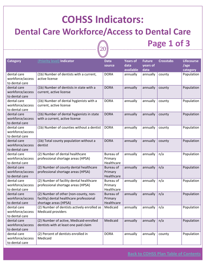### **COHSS Indicators:**

#### <span id="page-19-0"></span>**Dental Care Workforce/Access to Dental Care**

20

**Page 1 of 3**

| <b>Category</b>                                   | (Priority level) Indicator                                                                                 | <b>Data</b><br>source              | <b>Years of</b><br>data<br>available | <b>Future</b><br>years of<br>data | <b>Crosstabs</b> | Lifecourse<br>/age<br>category |
|---------------------------------------------------|------------------------------------------------------------------------------------------------------------|------------------------------------|--------------------------------------|-----------------------------------|------------------|--------------------------------|
| dental care<br>workforce/access<br>to dental care | (1b) Number of dentists with a current,<br>active license                                                  | <b>DORA</b>                        | annually                             | annually                          | county           | Population                     |
| dental care<br>workforce/access<br>to dental care | (1b) Number of dentists in state with a<br>current, active license                                         | <b>DORA</b>                        | annually                             | annually                          | county           | Population                     |
| dental care<br>workforce/access<br>to dental care | (1b) Number of dental hygienists with a<br>current, active license                                         | <b>DORA</b>                        | annually                             | annually                          | county           | Population                     |
| dental care<br>workforce/access<br>to dental care | (1b) Number of dental hygienists in state<br>with a current, active license                                | <b>DORA</b>                        | annually                             | annually                          | county           | Population                     |
| dental care<br>workforce/access<br>to dental care | (1b) Number of counties without a dentist                                                                  | <b>DORA</b>                        | annually                             | annually                          | county           | Population                     |
| dental care<br>workforce/access<br>to dental care | (1b) Total county population without a<br>dentist                                                          | <b>DORA</b>                        | annually                             | annually                          | county           | Population                     |
| dental care<br>workforce/access<br>to dental care | (2) Number of dental healthcare<br>professional shortage areas (HPSA)                                      | Bureau of<br>Primary<br>Healthcare | annually                             | annually                          | n/a              | Population                     |
| dental care<br>workforce/access<br>to dental care | (2) Number of county dental healthcare<br>professional shortage areas (HPSA)                               | Bureau of<br>Primary<br>Healthcare | annually                             | annually                          | n/a              | Population                     |
| dental care<br>workforce/access<br>to dental care | (2) Number of facility dental healthcare<br>professional shortage areas (HPSA)                             | Bureau of<br>Primary<br>Healthcare | annually                             | annually                          | n/a              | Population                     |
| dental care<br>workforce/access<br>to dental care | (2) Number of other (non-county, non-<br>facility) dental healthcare professional<br>shortage areas (HPSA) | Bureau of<br>Primary<br>Healthcare | annually                             | annually                          | n/a              | Population                     |
| dental care<br>workforce/access<br>to dental care | (2) Number of dentists actively enrolled as<br><b>Medicaid providers</b>                                   | Medicaid                           | annually                             | annually $ n/a$                   |                  | Population                     |
| dental care<br>workforce/access<br>to dental care | (2) Number of active, Medicaid-enrolled<br>dentists with at least one paid claim                           | Medicaid                           | annually                             | annually                          | n/a              | Population                     |
| dental care<br>workforce/access<br>to dental care | (2) Percent of dentists enrolled in<br>Medicaid                                                            | <b>DORA</b>                        | annually                             | annually                          | county           | Population                     |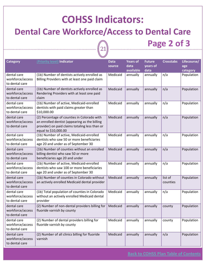### **COHSS Indicators:**

#### **Dental Care Workforce/Access to Dental Care**

21

**Page 2 of 3**

| <b>Category</b>                                   | (Priority level) Indicator                                                                                                                                             | <b>Data</b><br>source | <b>Years of</b><br>data<br>available | <b>Future</b><br>years of<br>data | <b>Crosstabs</b>    | Lifecourse/<br>age<br>category |
|---------------------------------------------------|------------------------------------------------------------------------------------------------------------------------------------------------------------------------|-----------------------|--------------------------------------|-----------------------------------|---------------------|--------------------------------|
| dental care<br>workforce/access<br>to dental care | (1b) Number of dentists actively enrolled as<br>Billing Providers with at least one paid claim                                                                         | Medicaid              | annually                             | annually                          | n/a                 | Population                     |
| dental care<br>workforce/access<br>to dental care | (1b) Number of dentists actively enrolled as<br>Rendering Providers with at least one paid<br>claim                                                                    | Medicaid              | annually                             | annually                          | n/a                 | Population                     |
| dental care<br>workforce/access<br>to dental care | (1b) Number of active, Medicaid-enrolled<br>dentists with paid claims greater than<br>\$10,000.00                                                                      | Medicaid              | annually                             | annually                          | n/a                 | Population                     |
| dental care<br>workforce/access<br>to dental care | (2) Percentage of counties in Colorado with<br>an enrolled dentist (appearing as the billing<br>provider) on paid claims totaling less than or<br>equal to \$10,000.00 | Medicaid              | annually                             | annually                          | n/a                 | Population                     |
| dental care<br>workforce/access<br>to dental care | (1b) Number of active, Medicaid-enrolled<br>dentists who saw 50 or more beneficiaries<br>age 20 and under as of September 30                                           | Medicaid              | annually                             | annually                          | n/a                 | Population                     |
| dental care<br>workforce/access<br>to dental care | (1b) Number of counties without an enrolled<br>billing dentist who saw 50 or more<br>beneficiaries age 20 and under                                                    | Medicaid              | annually                             | annually                          | n/a                 | Population                     |
| dental care<br>workforce/access<br>to dental care | (1b) Number of active, Medicaid-enrolled<br>dentists who saw 100 or more beneficiaries<br>age 20 and under as of September 30                                          | Medicaid              | annually                             | annually                          | n/a                 | Population                     |
| dental care<br>workforce/access<br>to dental care | (1b) Number of counties in Colorado without<br>an actively enrolled Medicaid dental provider                                                                           | Medicaid              | annually                             | annually                          | list of<br>counties | Population                     |
| dental care<br>workforce/access<br>to dental care | (1b) Total population of counties in Colorado<br>without an actively enrolled Medicaid dental<br>provider                                                              | Medicaid              | annually                             | annually                          | n/a                 | Population                     |
| dental care<br>workforce/access<br>to dental care | (2) Number of non-dental providers billing for<br>fluoride varnish by county                                                                                           | Medicaid              | annually                             | annually                          | county              | Population                     |
| dental care<br>workforce/access<br>to dental care | (2) Number of dental providers billing for<br>fluoride varnish by county                                                                                               | Medicaid              | annually                             | annually                          | county              | Population                     |
| dental care<br>workforce/access<br>to dental care | (2) Number of all clinics billing for fluoride<br>varnish                                                                                                              | Medicaid              | annually                             | annually                          | n/a                 | Population                     |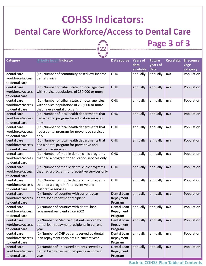### **COHSS Indicators:**

#### **Dental Care Workforce/Access to Dental Care**

# 22

| <b>Category</b>                                   | (Priority level) Indicator                                                                                                   | Data source                         | <b>Years of</b><br>data<br>available | <b>Future</b><br>years of<br>data | <b>Crosstabs</b> | <b>Lifecourse</b><br>/age<br>category |
|---------------------------------------------------|------------------------------------------------------------------------------------------------------------------------------|-------------------------------------|--------------------------------------|-----------------------------------|------------------|---------------------------------------|
| dental care<br>workforce/access<br>to dental care | (1b) Number of community-based low-income<br>dental clinics                                                                  | OHU                                 | annually                             | annually                          | n/a              | Population                            |
| dental care<br>workforce/access<br>to dental care | (1b) Number of tribal, state, or local agencies<br>with service populations of 250,000 or more                               | OHU                                 | annually                             | annually                          | n/a              | Population                            |
| dental care<br>workforce/access<br>to dental care | (1b) Number of tribal, state, or local agencies<br>with service populations of 250,000 or more<br>that have a dental program | OHU                                 | annually                             | annually                          | n/a              | Population                            |
| dental care<br>workforce/access<br>to dental care | (1b) Number of local health departments that<br>had a dental program for education services<br>only                          | OHU                                 | annually                             | annually                          | n/a              | Population                            |
| dental care<br>workforce/access<br>to dental care | (1b) Number of local health departments that<br>had a dental program for preventive services<br>only                         | OHU                                 | annually                             | annually                          | n/a              | Population                            |
| dental care<br>workforce/access<br>to dental care | (1b) Number of local health departments that<br>had a dental program for preventive and<br>restorative services              | OHU                                 | annually                             | annually                          | n/a              | Population                            |
| dental care<br>workforce/access<br>to dental care | (1b) Number of mobile dental clinic programs<br>that had a program for education services only                               | OHU                                 | annually                             | annually                          | n/a              | Population                            |
| dental care<br>workforce/access<br>to dental care | (1b) Number of mobile dental clinic programs<br>that had a program for preventive services only                              | OHU                                 | annually                             | annually                          | n/a              | Population                            |
| dental care<br>workforce/access<br>to dental care | (1b) Number of mobile dental clinic programs<br>that had a program for preventive and<br>restorative services                | OHU                                 | annually                             | annually                          | n/a              | Population                            |
| dental care<br>workforce/access<br>to dental care | (2) Number of counties with current year<br>dental loan repayment recipient                                                  | Dental Loan<br>Repayment<br>Program | annually                             | annually                          | n/a              | Population                            |
| dental care<br>workforce/access<br>to dental care | (2) Number of counties with dental loan<br>repayment recipient since 2002                                                    | Dental Loan<br>Repayment<br>Program | annually                             | annually                          | n/a              | Population                            |
| dental care<br>workforce/access<br>to dental care | (2) Number of Medicaid patients served by<br>dental loan repayment recipients in current<br>year                             | Dental Loan<br>Repayment<br>Program | annually                             | annually                          | n/a              | Population                            |
| dental care<br>workforce/access<br>to dental care | (2) Number of CHP patients served by dental<br>loan repayment recipients in current year                                     | Dental Loan<br>Repayment<br>Program | annually                             | annually                          | n/a              | Population                            |
| dental care<br>workforce/access<br>to dental care | (2) Number of uninsured patients served by<br>dental loan repayment recipients in current<br>year                            | Dental Loan<br>Repayment<br>Program | annually                             | annually                          | n/a              | Population                            |

**Page 3 of 3**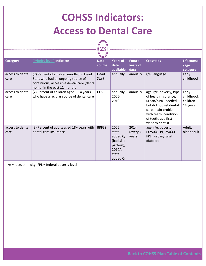## <span id="page-22-0"></span>**COHSS Indicators: Access to Dental Care**



| <b>Category</b>          | (Priority level) Indicator                                                                                                                                  | <b>Data</b><br>source | <b>Years of</b><br>data<br>available                                             | <b>Future</b><br>years of<br>data | <b>Crosstabs</b>                                                                                                                                                                          | <b>Lifecourse</b><br>/age<br>category          |
|--------------------------|-------------------------------------------------------------------------------------------------------------------------------------------------------------|-----------------------|----------------------------------------------------------------------------------|-----------------------------------|-------------------------------------------------------------------------------------------------------------------------------------------------------------------------------------------|------------------------------------------------|
| access to dental<br>care | (2) Percent of children enrolled in Head<br>Start who had an ongoing source of<br>continuous, accessible dental care (dental<br>home) in the past 12 months | Head<br>Start         | annually                                                                         | annually                          | r/e, language                                                                                                                                                                             | Early<br>childhood                             |
| access to dental<br>care | (2) Percent of children aged 1-14 years<br>who have a regular source of dental care                                                                         | <b>CHS</b>            | annually<br>2006-<br>2010                                                        | annually                          | age, r/e, poverty, type<br>of health insurance,<br>urban/rural, needed<br>but did not get dental<br>care, main problem<br>with teeth, condition<br>of teeth, age first<br>went to dentist | Early<br>childhood,<br>children 1-<br>14 years |
| access to dental<br>care | (3) Percent of adults aged 18+ years with<br>dental care insurance                                                                                          | <b>BRFSS</b>          | 2006<br>state-<br>added Q<br>(bad skip<br>pattern),<br>2010A<br>state<br>added Q | 2014<br>(every 4<br>years)        | age, r/e, poverty<br>(<250% FPL, 250%+<br>FPL), urban/rural,<br>diabetes                                                                                                                  | Adult,<br>older adult                          |

r/e = race/ethnicity; FPL = federal poverty level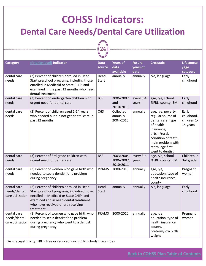### <span id="page-23-0"></span>**COHSS Indicators: Dental Care Needs/Dental Care Utilization**



| <b>Category</b>                                 | (Priority level) Indicator                                                                                                                                                                                                   | <b>Data</b><br>source | <b>Years of</b><br>data<br>available  | <b>Future</b><br>years of<br>data | <b>Crosstabs</b>                                                                                                                                                                           | <b>Lifecourse</b><br>/age<br>category          |
|-------------------------------------------------|------------------------------------------------------------------------------------------------------------------------------------------------------------------------------------------------------------------------------|-----------------------|---------------------------------------|-----------------------------------|--------------------------------------------------------------------------------------------------------------------------------------------------------------------------------------------|------------------------------------------------|
| dental care<br>needs                            | (2) Percent of children enrolled in Head<br>Start preschool programs, including those<br>enrolled in Medicaid or State CHIP, and<br>examined in the past 12 months who need<br>dental treatment                              | Head<br>Start         | annually                              | annually                          | r/e, language                                                                                                                                                                              | Early<br>childhood                             |
| dental care<br>needs                            | (3) Percent of kindergarten children with<br>urgent need for dental care                                                                                                                                                     | <b>BSS</b>            | 2006/2007<br>and<br>2010/2011         | every 3-4<br>years                | age, r/e, school<br>%FRL, county, BMI                                                                                                                                                      | Early<br>childhood                             |
| dental care<br>needs                            | (2) Percent of children aged 1-14 years<br>who needed but did not get dental care in<br>past 12 months                                                                                                                       | <b>CHS</b>            | Collected<br>annually<br>2004-2010    | annually                          | age, r/e, poverty,<br>regular source of<br>dental care, type<br>of health<br>insurance,<br>urban/rural,<br>condition of teeth,<br>main problem with<br>teeth, age first<br>went to dentist | Early<br>childhood,<br>children 1-<br>14 years |
| dental care<br>needs                            | (3) Percent of 3rd grade children with<br>urgent need for dental care                                                                                                                                                        | <b>BSS</b>            | 2003/2004,<br>2006/2007,<br>2010/2011 | every 3-4<br>years                | age, r/e, school<br>%FRL, county, BMI                                                                                                                                                      | Children in<br>3rd grade                       |
| dental care<br>needs                            | (3) Percent of women who gave birth who<br>needed to see a dentist for a problem<br>during pregnancy                                                                                                                         | <b>PRAMS</b>          | 2000-2010                             | annually                          | age, r/e,<br>education, type of<br>health insurance,<br>county                                                                                                                             | Pregnant<br>women                              |
| dental care<br>needs/dental<br>care utilization | (2) Percent of children enrolled in Head<br>Start preschool programs, including those<br>enrolled in Medicaid or State CHIP, and<br>examined and in need dental treatment<br>who have received or are receiving<br>treatment | Head<br><b>Start</b>  | annually                              | annually                          | r/e, language                                                                                                                                                                              | Early<br>childhood                             |
| dental care<br>needs/dental<br>care utilization | (3) Percent of women who gave birth who<br>needed to see a dentist for a problem<br>during pregnancy who went to a dentist<br>during pregnancy                                                                               | <b>PRAMS</b>          | 2000-2010                             | annually                          | age, $r/e$ ,<br>education, type of<br>health insurance,<br>county,<br>preterm/low birth<br>weight                                                                                          | Pregnant<br>women                              |

r/e = race/ethnicity; FRL = free or reduced lunch; BMI = body mass index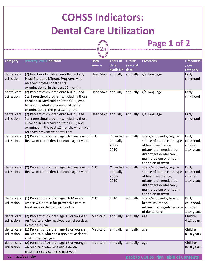|                            | <b>COHSS Indicators:</b>                                                                                                                                                                                       |                       |                                        |                           |                                                                                                                                                                                            |                                               |
|----------------------------|----------------------------------------------------------------------------------------------------------------------------------------------------------------------------------------------------------------|-----------------------|----------------------------------------|---------------------------|--------------------------------------------------------------------------------------------------------------------------------------------------------------------------------------------|-----------------------------------------------|
|                            | <b>Dental Care Utilization</b>                                                                                                                                                                                 |                       |                                        |                           |                                                                                                                                                                                            |                                               |
|                            | Page 1 of 2<br>$25\,$                                                                                                                                                                                          |                       |                                        |                           |                                                                                                                                                                                            |                                               |
|                            |                                                                                                                                                                                                                |                       |                                        |                           |                                                                                                                                                                                            |                                               |
| <b>Category</b>            | (Priority level) Indicator                                                                                                                                                                                     | <b>Data</b><br>source | <b>Years of</b><br>data                | <b>Future</b><br>years of | <b>Crosstabs</b>                                                                                                                                                                           | <b>Lifecourse</b><br>/age                     |
| dental care<br>utilization | (2) Number of children enrolled in Early<br>Head Start and Migrant Programs who<br>received professional dental<br>examination(s) in the past 12 months                                                        | Head Start annually   | available data                         | annually                  | $r/e$ , language                                                                                                                                                                           | category<br>Early<br>childhood                |
| dental care<br>utilization | (2) Percent of children enrolled in Head<br>Start preschool programs, including those<br>enrolled in Medicaid or State CHIP, who<br>have completed a professional dental<br>examination in the past 12 months  | Head Start annually   |                                        | annually                  | r/e, language                                                                                                                                                                              | Early<br>childhood                            |
| dental care<br>utilization | (2) Percent of children enrolled in Head<br>Start preschool programs, including those<br>enrolled in Medicaid or State CHIP, and<br>examined in the past 12 months who have<br>received preventive dental care | Head Start annually   |                                        | annually                  | $r/e$ , language                                                                                                                                                                           | Early<br>childhood                            |
| dental care<br>utilization | (2) Percent of children aged 1-5 years who<br>first went to the dentist before age 1 years                                                                                                                     | <b>CHS</b>            | Collected<br>annually<br>2006-<br>2010 | annually                  | age, r/e, poverty, regular<br>source of dental care, type<br>of health insurance,<br>urban/rural, needed but<br>did not get dental care,<br>main problem with teeth,<br>condition of teeth | Early<br>childhood,<br>children<br>1-14 years |
| dental care<br>utilization | (2) Percent of children aged 2-6 years who<br>first went to the dentist before age 2 years                                                                                                                     | <b>CHS</b>            | Collected<br>annually<br>2006-<br>2010 | annually                  | age, r/e, poverty, regular<br>source of dental care, type<br>of health insurance,<br>urban/rural, needed but<br>did not get dental care,<br>main problem with teeth,<br>condition of teeth | Early<br>childhood,<br>children<br>1-14 years |
| dental care<br>utilization | (1) Percent of children aged 1-14 years<br>who saw a dentist for preventive care at<br>least once in the past 12 months                                                                                        | <b>CHS</b>            | 2010                                   | annually                  | age, r/e, poverty, type of<br>health insurance,<br>urban/rural, regular source<br>of dental care                                                                                           | Early<br>childhood,<br>children<br>1-14 years |
| dental care<br>utilization | (2) Percent of children age 18 or younger<br>on Medicaid who received dental services<br>in the past year                                                                                                      | Medicaid              | annually                               | annually                  | age                                                                                                                                                                                        | Children<br>0-18 years                        |
| dental care<br>utilization | (1) Percent of children age 18 or younger<br>on Medicaid who had a preventive dental<br>visit in the past year                                                                                                 | Medicaid              | annually                               | annually                  | age                                                                                                                                                                                        | Children<br>0-18 years                        |
| dental care<br>utilization | (2) Percent of children age 18 or younger<br>on Medicaid who received a dental<br>treatment service in the past year                                                                                           | Medicaid              | annually                               | annually                  | age                                                                                                                                                                                        | Children<br>0-18 years                        |
| $r/e = race/ethnicity$     |                                                                                                                                                                                                                |                       |                                        |                           | <b>Back to COHSS Plan Table of Contents</b>                                                                                                                                                |                                               |

<span id="page-24-0"></span>Г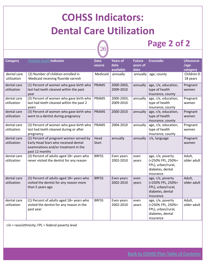### **COHSS Indicators: Dental Care Utilization**

 $\ket{26}$ 

#### **Page 2 of 2**

| <b>Category</b>            | (Priority level) Indicator                                                                                                                | <b>Data</b><br>source | <b>Years of</b><br>data | <b>Future</b><br>years of | <b>Crosstabs</b>                                                                              | <b>Lifecourse</b><br>/age |
|----------------------------|-------------------------------------------------------------------------------------------------------------------------------------------|-----------------------|-------------------------|---------------------------|-----------------------------------------------------------------------------------------------|---------------------------|
|                            |                                                                                                                                           |                       | available               | data                      |                                                                                               | category                  |
| dental care<br>utilization | (2) Number of children enrolled in<br>Medicaid receiving fluoride varnish                                                                 | Medicaid              | annually                | annually                  | age, county                                                                                   | Children 0-<br>18 years   |
| dental care<br>utilization | (1) Percent of women who gave birth who<br>last had teeth cleaned within the past<br>year                                                 | <b>PRAMS</b>          | 2000-2003,<br>2009-2010 | annually                  | age, r/e, education,<br>type of health<br>insurance, county                                   | Pregnant<br>women         |
| dental care<br>utilization | (3) Percent of women who gave birth who<br>last had teeth cleaned within the past 2<br>years                                              | <b>PRAMS</b>          | 2000-2003,<br>2009-2010 | annually                  | age, r/e, education,<br>type of health<br>insurance, county                                   | Pregnant<br>women         |
| dental care<br>utilization | (3) Percent of women who gave birth who<br>went to a dentist during pregnancy                                                             | <b>PRAMS</b>          | 2000-2010               | annually                  | age, r/e, education,<br>type of health<br>insurance, county                                   | Pregnant<br>women         |
| dental care<br>utilization | (3) Percent of women who gave birth who<br>last had teeth cleaned during or after<br>pregnancy                                            | <b>PRAMS</b>          | 2004-2010               | annually                  | age, r/e, education,<br>type of health<br>insurance, county                                   | Pregnant<br>women         |
| dental care<br>utilization | (2) Percent of pregnant women served by<br>Early Head Start who received dental<br>examinations and/or treatment in the<br>past 12 months | Head<br>Start         | annually                | annually                  | r/e, language                                                                                 | Pregnant<br>women         |
| dental care<br>utilization | (3) Percent of adults aged 18+ years who<br>never visited the dentist for any reason                                                      | <b>BRFSS</b>          | Even years<br>2002-2010 | even<br>years             | age, r/e, poverty<br>(<250% FPL, 250%+<br>FPL), urban/rural,<br>diabetes, dental<br>insurance | Adult,<br>older adult     |
| dental care<br>utilization | (3) Percent of adults aged 18+ years who<br>visited the dentist for any reason more<br>than 5 years ago                                   | <b>BRFSS</b>          | Even years<br>2002-2010 | even<br>years             | age, r/e, poverty<br>(<250% FPL, 250%+<br>FPL), urban/rural,<br>diabetes, dental<br>insurance | Adult,<br>older adult     |
| dental care<br>utilization | (1) Percent of adults aged 18+ years who<br>visited the dentist for any reason in the<br>past year                                        | <b>BRFSS</b>          | Even years<br>2002-2010 | even<br>years             | age, r/e, poverty<br>(<250% FPL, 250%+<br>FPL), urban/rural,<br>diabetes, dental<br>insurance | Adult,<br>older adult     |

r/e = race/ethnicity; FPL = federal poverty level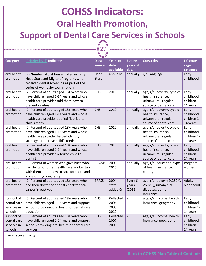### <span id="page-26-0"></span>**COHSS Indicators: Oral Health Promotion, Support of Dental Care Services in Schools**

 $\sqrt{\phantom{a}}27$ 

| <b>Category</b>                                     | (Priority level) Indicator                                                                                                                                       | <b>Data</b><br>source | <b>Years of</b><br>data<br>available | <b>Future</b><br>years of<br>data | <b>Crosstabs</b>                                                                                 | <b>Lifecourse</b><br>/age<br>category          |
|-----------------------------------------------------|------------------------------------------------------------------------------------------------------------------------------------------------------------------|-----------------------|--------------------------------------|-----------------------------------|--------------------------------------------------------------------------------------------------|------------------------------------------------|
| oral health<br>promotion                            | (2) Number of children enrolled in Early<br>Head Start and Migrant Programs who<br>received dental screening as part of the<br>series of well-baby examinations  | Head<br><b>Start</b>  | annually                             | annually                          | r/e, language                                                                                    | Early<br>childhood                             |
| oral health<br>promotion                            | (2) Percent of adults aged 18+ years who<br>have children aged 1-14 years and whose<br>health care provider told them how to<br>prevent cavities                 | <b>CHS</b>            | 2010                                 | annually                          | age, r/e, poverty, type of<br>health insurance,<br>urban/rural, regular<br>source of dental care | Early<br>childhood,<br>children 1-<br>14 years |
| oral health<br>promotion                            | (2) Percent of adults aged 18+ years who<br>have children aged 1-14 years and whose<br>health care provider applied fluoride to<br>child's teeth                 | <b>CHS</b>            | 2010                                 | annually                          | age, r/e, poverty, type of<br>health insurance,<br>urban/rural, regular<br>source of dental care | Early<br>childhood,<br>children 1-<br>14 years |
| oral health<br>promotion                            | (2) Percent of adults aged 18+ years who<br>have children aged 1-14 years and whose<br>health care provider helped identify<br>strategy to improve child's teeth | <b>CHS</b>            | 2010                                 | annually                          | age, r/e, poverty, type of<br>health insurance,<br>urban/rural, regular<br>source of dental care | Early<br>childhood,<br>children 1-<br>14 years |
| oral health<br>promotion                            | (2) Percent of adults aged 18+ years who<br>have children aged 1-14 years and whose<br>health care provider referred child to<br>dentist                         | <b>CHS</b>            | 2010                                 | annually                          | age, r/e, poverty, type of<br>health insurance,<br>urban/rural, regular<br>source of dental care | Early<br>childhood,<br>children 1-<br>14 years |
| oral health<br>promotion                            | (3) Percent of women who gave birth who<br>had dental or other health care worker talk<br>with them about how to care for teeth and<br>gums during pregnancy     | <b>PRAMS</b>          | 2000-<br>2010                        | annually                          | age, r/e, education, type<br>of health insurance,<br>county                                      | Pregnant<br>women                              |
| oral health<br>promotion                            | (2) Percent of adults aged 18+ years who<br>had their doctor or dentist check for oral<br>cancer in past year                                                    | <b>BRFSS</b>          | 2004<br>state<br>added Q             | Every 6<br>years<br>(2012)        | age, r/e, poverty (<250%,<br>250%+), urban/rural,<br>diabetes, dental<br>insurance               | Adult,<br>older adult                          |
| support of<br>dental care<br>services in<br>schools | (3) Percent of adults aged 18+ years who<br>have children aged 1-14 years and support<br>schools providing oral health or dental care<br>education               | <b>CHS</b>            | Collected<br>2004,<br>2005,<br>2010  | ?                                 | age, r/e, income, health<br>insurance, geography                                                 | Early<br>childhood,<br>children 1-<br>14 years |
| support of<br>dental care<br>services in<br>schools | (3) Percent of adults aged 18+ years who<br>have children aged 1-14 years and support<br>schools providing oral health or dental care<br>services                | <b>CHS</b>            | Collected<br>2007-<br>2009           | $\overline{?}$                    | age, r/e, income, health<br>insurance, geography                                                 | Early<br>childhood,<br>children 1-<br>14 years |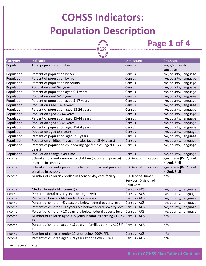$28)$ 

#### **Page 1 of 4**

<span id="page-27-0"></span>

| <b>Category</b> | <b>Indicator</b>                                                            | <b>Data source</b>    | <b>Crosstabs</b>        |
|-----------------|-----------------------------------------------------------------------------|-----------------------|-------------------------|
| Population      | Total population (number)                                                   | Census                | sex, r/e, county,       |
|                 |                                                                             |                       | language                |
| Population      | Percent of population by sex                                                | Census                | r/e, county, language   |
| Population      | Percent of population by r/e                                                | Census                | r/e, county, language   |
| Population      | Percent of population by county                                             | Census                | r/e, county, language   |
| Population      | Population aged 0-4 years                                                   | Census                | r/e, county, language   |
| Population      | Percent of population aged 0-4 years                                        | Census                | r/e, county, language   |
| Population      | Population aged 5-17 years                                                  | Census                | r/e, county, language   |
| Population      | Percent of population aged 5-17 years                                       | Census                | r/e, county, language   |
| Population      | Population aged 18-24 years                                                 | Census                | r/e, county, language   |
| Population      | Percent of population aged 18-24 years                                      | Census                | r/e, county, language   |
| Population      | Population aged 25-44 years                                                 | Census                | r/e, county, language   |
| Population      | Percent of population aged 25-44 years                                      | Census                | r/e, county, language   |
| Population      | Population aged 45-64 years                                                 | Census                | r/e, county, language   |
| Population      | Percent of population aged 45-64 years                                      | Census                | r/e, county, language   |
| Population      | Population aged 65+ years                                                   | Census                | r/e, county, language   |
| Population      | Percent of population aged 65+ years                                        | Census                | r/e, county, language   |
| Population      | Population childbearing age females (aged 15-44 years)                      | Census                | r/e, county, language   |
| Population      | Percent of population childbearing age females (aged 15-44                  | Census                | r/e, county, language   |
|                 | years)                                                                      |                       |                         |
| Population      | Population change over time                                                 | Census                | r/e, county, language   |
| Income          | School enrollment - number of children (public and private)                 | CO Dept of Education  | age, grade [K-12, preK, |
|                 | enrolled in schools                                                         |                       | K, 2nd, 3rd]            |
| Income          | School enrollment - percent of children (public and private)                | CO Dept of Education  | age, grade [K-12, preK, |
|                 | enrolled in schools                                                         |                       | K, 2nd, 3rd]            |
| Income          | Number of children enrolled in licensed day care facility                   | CO Dept of Human      | n/a                     |
|                 |                                                                             | Services, Division of |                         |
|                 |                                                                             | <b>Child Care</b>     |                         |
| Income          | Median household income (\$)                                                | Census - ACS          | r/e, county, language   |
| Income          | Percent federal poverty level (categorized)                                 | Census - ACS          | r/e, county, language   |
| Income          | Percent of households headed by a single adult                              | Census - ACS          | r/e, county, language   |
| Income          | Percent of children <5 years old below federal poverty level                | Census - ACS          | r/e, county, language   |
| Income          | Percent of children 5-17 years old below federal poverty level Census - ACS |                       | r/e, county, language   |
| Income          | Percent of children <18 years old below federal poverty level Census - ACS  |                       | r/e, county, language   |
| Income          | Number of children aged <18 years in families earning <125% Census - ACS    |                       | n/a                     |
|                 | <b>FPL</b>                                                                  |                       |                         |
| Income          | Percent of children aged <18 years in families earning <125% Census - ACS   |                       | n/a                     |
|                 | <b>FPL</b>                                                                  |                       |                         |
| Income          | Number of children under 19 at or below 200% FPL                            | Census - ACS          | n/a                     |
| Income          | Percent of children aged <19 years at or below 200% FPL                     | Census - ACS          | n/a                     |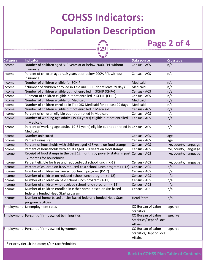$\sqrt{29}$ 

### **Page 2 of 4**

| <b>Category</b> | <b>Indicator</b>                                                                                                | Data source                                               | <b>Crosstabs</b>      |
|-----------------|-----------------------------------------------------------------------------------------------------------------|-----------------------------------------------------------|-----------------------|
| Income          | Number of children aged <19 years at or below 200% FPL without<br>insurance                                     | Census - ACS                                              | n/a                   |
| Income          | Percent of children aged <19 years at or below 200% FPL without<br>insurance                                    | Census - ACS                                              | n/a                   |
| Income          | Number of children eligible for SCHIP                                                                           | Medicaid                                                  | n/a                   |
| Income          | *Number of children enrolled in Title XXI SCHIP for at least 29 days                                            | Medicaid                                                  | n/a                   |
| Income          | Number of children eligible but not enrolled in SCHIP (CHP+)                                                    | Census - ACS                                              | n/a                   |
| Income          | *Percent of children eligible but not enrolled in SCHIP (CHP+)                                                  | Census - ACS                                              | n/a                   |
| Income          | Number of children eligible for Medicaid                                                                        | Medicaid                                                  | n/a                   |
| Income          | Number of children enrolled in Title XIX Medicaid for at least 29 days                                          | Medicaid                                                  | n/a                   |
| Income          | Number of children eligible but not enrolled in Medicaid                                                        | Census - ACS                                              | n/a                   |
| Income          | Percent of children eligible but not enrolled in Medicaid                                                       | Census - ACS                                              | n/a                   |
| Income          | Number of working-age adults (19-64 years) eligible but not enrolled<br>in Medicaid                             | Census - ACS                                              | n/a                   |
| Income          | Percent of working-age adults (19-64 years) eligible but not enrolled in Census - ACS<br>Medicaid               |                                                           | n/a                   |
| Income          | Number uninsured                                                                                                | Census - ACS                                              | age                   |
| Income          | Percent uninsured                                                                                               | Census - ACS                                              | age                   |
| Income          | Percent of households with children aged <18 years on food stamps                                               | Census - ACS                                              | r/e, county, language |
| Income          | Percent of households with adults aged 60+ years on food stamps                                                 | Census - ACS                                              | r/e, county, language |
| Income          | Receipt of food stamps in the past 12 months by poverty status in past Census - ACS<br>12 months for households |                                                           | r/e, county, language |
| Income          | Percent eligible for free and reduced-cost school lunch (K-12)                                                  | Census - ACS                                              | r/e, county, language |
| Income          | Percent of children on free/reduced-cost school lunch program (K-12)                                            | Census - ACS                                              | n/a                   |
| Income          | Number of children on free school lunch program (K-12)                                                          | Census - ACS                                              | n/a                   |
| Income          | Number of children on reduced school lunch program (K-12)                                                       | Census - ACS                                              | n/a                   |
| Income          | Number of children on paid school lunch program (K-12)                                                          | Census - ACS                                              | n/a                   |
| Income          | Number of children who received school lunch program (K-12)                                                     | Census - ACS                                              | n/a                   |
| Income          | Number of children enrolled in either home-based or site-based<br>federally funded Head Start program           | Census - ACS                                              | n/a                   |
| Income          | Number of home-based or site-based federally funded Head Start<br>program facilities                            | <b>Head Start</b>                                         | n/a                   |
|                 | Employment Unemployment rates                                                                                   | CO Bureau of Labor<br><b>Statistics</b>                   | age, r/e              |
|                 | Employment Percent of firms owned by minorities                                                                 | CO Bureau of Labor<br>Statistics/Dept of Local<br>Affairs | age, $r/e$            |
|                 | Employment Percent of firms owned by women                                                                      | CO Bureau of Labor<br>Statistics/Dept of Local<br>Affairs | age, $r/e$            |
|                 |                                                                                                                 |                                                           |                       |

\* Priority tier 1b indicator; r/e = race/ethnicity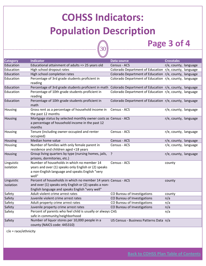30

#### **Page 3 of 4**

|                 | $\blacktriangleright$                                                                                                        |                                                        |                       |
|-----------------|------------------------------------------------------------------------------------------------------------------------------|--------------------------------------------------------|-----------------------|
| <b>Category</b> | <b>Indicator</b>                                                                                                             | Data source                                            | <b>Crosstabs</b>      |
| Education       | Educational attainment of adults => 25 years old                                                                             | Census - ACS                                           | r/e, county, language |
| Education       | High school dropout rates                                                                                                    | Colorado Department of Education r/e, county, language |                       |
| Education       | High school completion rates                                                                                                 | Colorado Department of Education r/e, county, language |                       |
| Education       | Percentage of 3rd grade students proficient in<br>reading                                                                    | Colorado Department of Education r/e, county, language |                       |
| Education       | Percentage of 3rd grade students proficient in math                                                                          | Colorado Department of Education r/e, county, language |                       |
| Education       | Percentage of 10th grade students proficient in<br>reading                                                                   | Colorado Department of Education r/e, county, language |                       |
| Education       | Percentage of 10th grade students proficient in<br>math                                                                      | Colorado Department of Education r/e, county, language |                       |
| Housing         | Gross rent as a percentage of household income in<br>the past 12 months                                                      | Census - ACS                                           | r/e, county, language |
| Housing         | Mortgage status by selected monthly owner costs as Census - ACS<br>a percentage of household income in the past 12<br>months |                                                        | r/e, county, language |
| Housing         | Tenure (including owner-occupied and renter<br>occupied)                                                                     | Census - ACS                                           | r/e, county, language |
| Housing         | Median home value                                                                                                            | Census - ACS                                           | r/e, county, language |
| Housing         | Number of families with only female parent in<br>residence and children aged <18 years                                       | Census - ACS                                           | r/e, county, language |
| Housing         | Group living quarters by type (nursing homes, jails,<br>prisons, dormitories, etc.)                                          | $\cdot$                                                | r/e, county, language |
| Linguistic      | Number of households in which no member 14                                                                                   | Census - ACS                                           | county                |
| isolation       | years and over (1) speaks only English or (2) speaks<br>a non-English language and speaks English "very<br>well"             |                                                        |                       |
| Linguistic      | Percent of households in which no member 14 years Census - ACS                                                               |                                                        | county                |
| isolation       | and over (1) speaks only English or (2) speaks a non-<br>English language and speaks English "very well"                     |                                                        |                       |
| Safety          | Adult violent crime arrest rates                                                                                             | CO Bureau of Investigations                            | county                |
| Safety          | Juvenile violent crime arrest rates                                                                                          | CO Bureau of Investigations                            | n/a                   |
| Safety          | Adult property crime arrest rates                                                                                            | CO Bureau of Investigations                            | n/a                   |
| Safety          | Juvenile property crime arrest rates                                                                                         | CO Bureau of Investigations                            | n/a                   |
| Safety          | Percent of parents who feel child is usually or always CHS<br>safe in community/neighborhood                                 |                                                        | n/a                   |
| Safety          | Number of liquor stores per 10,000 people in a<br>county (NAICS code: 445310)                                                | US Census - Business Patterns Data n/a                 |                       |
|                 |                                                                                                                              |                                                        |                       |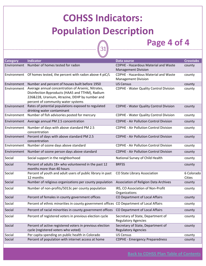$\widehat{\binom{31}}$ 

#### **Page 4 of 4**

| <b>Category</b> | Indicator                                                                                 | Data source                                   | <b>Crosstabs</b> |
|-----------------|-------------------------------------------------------------------------------------------|-----------------------------------------------|------------------|
| Environment     | Number of homes tested for radon                                                          | <b>CDPHE - Hazardous Material and Waste</b>   | county           |
|                 |                                                                                           | <b>Management Division</b>                    |                  |
| Environment     | Of homes tested, the percent with radon above 4 piC/L                                     | <b>CDPHE - Hazardous Material and Waste</b>   | county           |
|                 |                                                                                           | <b>Management Division</b>                    |                  |
| Environment     | Number and percent of houses built before 1950                                            | <b>US Census</b>                              | county           |
| Environment     | Average annual concentration of Arsenic, Nitrates,                                        | <b>CDPHE - Water Quality Control Division</b> | county           |
|                 | Disinfection Byproducts (HAA5 and TTHM), Radium                                           |                                               |                  |
|                 | 226&228, Uranium, Atrazine, DEHP by number and                                            |                                               |                  |
| Environment     | percent of community water systems<br>Rates of potential populations exposed to regulated | CDPHE - Water Quality Control Division        | county           |
|                 | drinking water contaminant                                                                |                                               |                  |
| Environment     | Number of fish advisories posted for mercury                                              | <b>CDPHE - Water Quality Control Division</b> | county           |
|                 |                                                                                           | <b>CDPHE - Air Pollution Control Division</b> |                  |
| Environment     | Average annual PM 2.5 concentration                                                       |                                               | county           |
| Environment     | Number of days with above standard PM 2.5                                                 | <b>CDPHE - Air Pollution Control Division</b> | county           |
|                 | concentration                                                                             |                                               |                  |
| Environment     | Percent of days with above standard PM 2.5<br>concentration                               | <b>CDPHE - Air Pollution Control Division</b> | county           |
| Environment     | Number of ozone days above standard                                                       | <b>CDPHE - Air Pollution Control Division</b> | county           |
| Environment     | Number of ozone person days above standard                                                | <b>CDPHE - Air Pollution Control Division</b> | county           |
|                 |                                                                                           |                                               |                  |
| Social          | Social support in the neighborhood                                                        | National Survey of Child Health               | county           |
| Social          | Percent of adults 18+ who volunteered in the past 12                                      | <b>BRFSS</b>                                  | county           |
|                 | months more than 40 hours                                                                 |                                               |                  |
| Social          | Percent of youth and adult users of public library in past                                | CO State Library Association                  | 6 Colorado       |
| Social          | 12 months<br>Number of religious organizations per county population                      | Association of Religion Data Archives         | Cities           |
|                 |                                                                                           |                                               | county           |
| Social          | Number of non-profits/5013c per county population                                         | IRS, CO Association of Non-Profit             | county           |
|                 |                                                                                           | Organizations                                 |                  |
| Social          | Percent of females in county government offices                                           | CO Department of Local Affairs                | county           |
| Social          | Percent of ethnic minorities in county government offices CO Department of Local Affairs  |                                               | county           |
| Social          | Percent of racial minorities in county government offices                                 | CO Department of Local Affairs                | county           |
| Social          | Percent of registered voters in previous election cycle                                   | Secretary of State, Department of             | county           |
|                 |                                                                                           | <b>Regulatory Agencies</b>                    |                  |
| Social          | Percent of active registered voters in previous election                                  | Secretary of State, Department of             | county           |
|                 | cycle (registered voters who voted)                                                       | <b>Regulatory Agencies</b>                    |                  |
| Social          | Per capita spending on public health in Colorado                                          | <b>US Census</b>                              | county           |
| Social          | Percent of population with internet access at home                                        | <b>CDPHE - Emergency Preparedness</b>         | county           |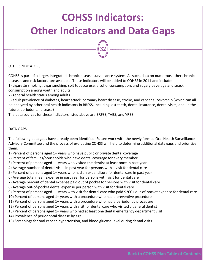# <span id="page-31-0"></span>**COHSS Indicators: Other Indicators and Data Gaps**

32

#### OTHER INDICATORS

COHSS is part of a larger, integrated chronic disease surveillance system. As such, data on numerous other chronic diseases and risk factors are available. These indicators will be added to COHSS in 2011 and include:

1) cigarette smoking, cigar smoking, spit tobacco use, alcohol consumption, and sugary beverage and snack consumption among youth and adults

2) general health status among adults

3) adult prevalence of diabetes, heart attack, coronary heart disease, stroke, and cancer survivorship (which can all be analyzed by other oral health indicators in BRFSS, including lost teeth, dental insurance, dental visits, and, in the future, periodontal disease)

The data sources for these indicators listed above are BRFSS, TABS, and YRBS.

#### DATA GAPS

The following data gaps have already been identified. Future work with the newly formed Oral Health Surveillance Advisory Committee and the process of evaluating COHSS will help to determine additional data gaps and prioritize them.

1) Percent of persons aged 1+ years who have public or private dental coverage

2) Percent of families/households who have dental coverage for every member

3) Percent of persons aged 1+ years who visited the dentist at least once in past year

4) Average number of dental visits in past year for persons with a visit for dental care

5) Percent of persons aged 1+ years who had an expenditure for dental care in past year

6) Average total mean expense in past year for persons with visit for dental care

7) Average percent of dental expense paid out of pocket for persons with visit for dental care

8) Average out‐of‐pocket dental expense per person with visit for dental care

9) Percent of persons aged 1+ years with visit for dental care who paid \$200+ out-of-pocket expense for dental care

10) Percent of persons aged 1+ years with a procedure who had a preventive procedure

- 11) Percent of persons aged 1+ years with a procedure who had a periodontic procedure
- 12) Percent of persons aged 1+ years with visit for dental care who visited a general dentist
- 13) Percent of persons aged 1+ years who had at least one dental emergency department visit
- 14) Prevalence of periodontal disease by age
- 15) Screenings for oral cancer, hypertension, and blood glucose level during dental visits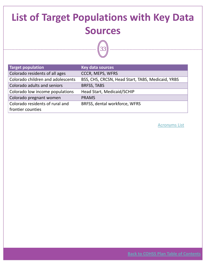# <span id="page-32-0"></span>**List of Target Populations with Key Data Sources**

33

| <b>Key data sources</b>                           |
|---------------------------------------------------|
| <b>CCCR, MEPS, WFRS</b>                           |
|                                                   |
| BSS, CHS, CRCSN, Head Start, TABS, Medicaid, YRBS |
| <b>BRFSS, TABS</b>                                |
| Head Start, Medicaid/SCHIP                        |
| <b>PRAMS</b>                                      |
| BRFSS, dental workforce, WFRS                     |
|                                                   |
|                                                   |

[Acronyms](#page-2-0) List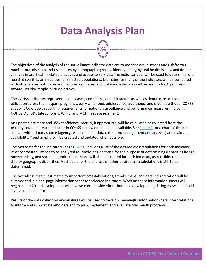### **Data Analysis Plan**

34

The objectives of the analysis of the surveillance indicator data are to monitor oral diseases and risk factors, monitor oral diseases and risk factors by demographic groups, identify emerging oral health issues, and detect changes in oral health‐related practices and access to services. The indicator data will be used to determine oral health disparities or inequities for selected populations. Estimates for many of the indicators will be compared with other states' estimates and national estimates, and Colorado estimates will be used to track progress toward Healthy People 2020 objectives.

The COHSS indicators represent oral diseases, conditions, and risk factors as well as dental care access and utilization across the lifespan: pregnancy, early childhood, adolescence, adulthood, and older adulthood. COHSS supports Colorado's reporting requirements for national surveillance and performance measures, including NOHSS, ASTDD state synopsis, WFRS, and MCH needs assessment.

An updated estimate and 95% confidence interval, if appropriate, will be calculated or collected from the primary source for each indicator in COHSS as new data become available. See [Figure](#page-8-0) 2 for a chart of the data sources with primary source (agency responsible for data collection/management and analysis) and estimated availability. Trend graphs will be created and updated when possible.

The metadata for the indicators (pages [14](#page-13-0)‐31) includes a list of the desired crosstabulations for each indicator. Priority crosstabulations to be analyzed routinely include those for the purpose of determining disparities by age, race/ethnicity, and socioeconomic status. Maps will also be created for each indicator, as possible, to help display geographic disparities. A schedule for the analysis of other desired crosstabulations is still to be determined.

The overall estimates, estimates by important crosstabulations, trends, maps, and data interpretation will be summarized in a one‐page information sheet for selected indicators. Work on these information sheets will begin in late 2011. Development will involve considerable effort, but once developed, updating these sheets will involve minimal effort.

Results of the data collection and analyses will be used to develop meaningful information (data interpretation) to inform and support stakeholders and to plan, implement, and evaluate oral health programs.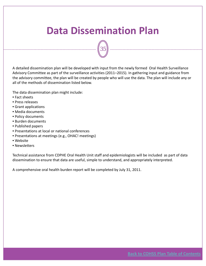### <span id="page-34-0"></span>**Data Dissemination Plan**

35

A detailed dissemination plan will be developed with input from the newly formed Oral Health Surveillance Advisory Committee as part of the surveillance activities (2011–2015). In gathering input and guidance from the advisory committee, the plan will be created by people who will use the data. The plan will include any or all of the methods of dissemination listed below.

The data dissemination plan might include:

- Fact sheets
- Press releases
- Grant applications
- Media documents
- Policy documents
- Burden documents
- Published papers
- Presentations at local or national conferences
- Presentations at meetings (e.g., OHAC! meetings)
- Website
- Newsletters

Technical assistance from CDPHE Oral Health Unit staff and epidemiologists will be included as part of data dissemination to ensure that data are useful, simple to understand, and appropriately interpreted.

A comprehensive oral health burden report will be completed by July 31, 2011.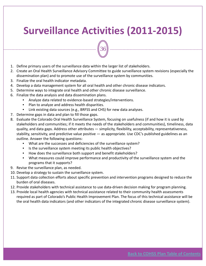### <span id="page-35-0"></span>**Surveillance Activities (2011‐2015)**

36

- 1. Define primary users of the surveillance data within the larger list of stakeholders.
- 2. Create an Oral Health Surveillance Advisory Committee to guide surveillance system revisions (especially the dissemination plan) and to promote use of the surveillance system by communities.
- 3. Finalize the oral health indicator metadata.
- 4. Develop a data management system for all oral health and other chronic disease indicators.
- 5. Determine ways to integrate oral health and other chronic disease surveillance.
- 6. Finalize the data analysis and data dissemination plans.
	- Analyze data related to evidence-based strategies/interventions.
	- Plan to analyze and address health disparities.
	- Link existing data sources (e.g., BRFSS and CHS) for new data analyses.
- 7. Determine gaps in data and plan to fill those gaps.
- 8. Evaluate the Colorado Oral Health Surveillance System, focusing on usefulness (if and how it is used by stakeholders and communities; if it meets the needs of the stakeholders and communities), timeliness, data quality, and data gaps. Address other attributes — simplicity, flexibility, acceptability, representativeness, stability, sensitivity, and predictive value positive — as appropriate. Use CDC's published guidelines as an outline. Answer the following questions:
	- What are the successes and deficiencies of the surveillance system?
	- Is the surveillance system meeting its public health objectives?
	- How does the surveillance both support and benefit stakeholders?
	- What measures could improve performance and productivity of the surveillance system and the programs that it supports?
- 9. Revise the surveillance plan, as needed.
- 10. Develop a strategy to sustain the surveillance system.
- 11. Support data collection efforts about specific prevention and intervention programs designed to reduce the burden of oral diseases.
- 12. Provide stakeholders with technical assistance to use data‐driven decision making for program planning.
- 13. Provide local health agencies with technical assistance related to their community health assessments required as part of Colorado's Public Health Improvement Plan. The focus of this technical assistance will be the oral health data indicators (and other indicators of the integrated chronic disease surveillance system).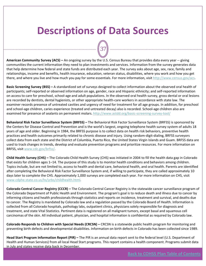### <span id="page-36-0"></span>**Descriptions of Data Sources**

37

**American Community Survey (ACS) –** An ongoing survey by the U.S. Census Bureau that provides data every year ‐‐ giving communities the current information they need to plan investments and services. Information from the survey generates data that help determine how federal and state funds are distributed each year. The survey asks about age, sex, race, family and relationships, income and benefits, health insurance, education, veteran status, disabilities, where you work and how you get there, and where you live and how much you pay for some essentials. For more information, visit [http://www.census.gov/acs.](http://www.census.gov/acs)

**Basic Screening Survey (BSS) –** A standardized set of surveys designed to collect information about the observed oral health of participants; self-reported or observed information on age, gender, race and Hispanic ethnicity; and self-reported information on access to care for preschool, school‐age and adult populations. In the observed oral health survey, gross dental or oral lesions are recorded by dentists, dental hygienists, or other appropriate health‐care workers in accordance with state law. The examiner records presence of untreated cavities and urgency of need for treatment for all age groups. In addition, for preschool and school-age children, caries experience (treated and untreated decay) also is recorded. School-age children also are examined for presence of sealants on permanent molars. [http://www.astdd.org/basic](http://www.astdd.org/basic-screening-survey-tool/)‐screening‐survey‐tool/

**Behavioral Risk Factor Surveillance System (BRFSS) –** The Behavioral Risk Factor Surveillance System (BRFSS) is sponsored by the Centers for Disease Control and Prevention and is the world's largest, ongoing telephone health survey system of adults 18 years of age and older. Beginning in 1984, the BRFSS purpose is to collect data on health risk behaviors, preventive health practices and health outcomes primarily related to chronic disease and injury. Using random‐digit‐dialing, BRFSS surveyors collect data from each state and the District of Columbia, Puerto Rico, the United States Virgin Islands and Guam. BRFSS data are used to track changes in trends, develop and evaluate prevention programs and prioritize resources. For more information on BRFSS, visit [www.cdc.gov/brfss/](http://www.cdc.gov/brfss/).

**Child Health Survey (CHS) –** The Colorado Child Health Survey (CHS) was initiated in 2004 to fill the health data gap in Colorado that exists for children ages 1–14. The purpose of this study is to monitor health conditions and behaviors among children. Topics include, but are not limited to, access to health and dental care, behavioral health, and oral health. Parents are identified after completing the Behavioral Risk Factor Surveillance System and, if willing to participate, they are called approximately 10 days later to complete the CHS. Approximately 1,000 surveys are completed each year. For more information on CHS, visit [www.cdphe.state.co.us/hs/yrbs/childhealth.html.](http://www.cdphe.state.co.us/hs/yrbs/childhealth.html)

**Colorado Central Cancer Registry (CCCR) –** The Colorado Central Cancer Registry is the statewide cancer surveillance program of the Colorado Department of Public Health and Environment. The program's goal is to reduce death and illness due to cancer by informing citizens and health professionals through statistics and reports on incidence, treatment and survival, and deaths due to cancer. The Registry is mandated by Colorado law and a regulation passed by the Colorado Board of Health. Information is collected from all Colorado hospitals, pathology labs, outpatient clinics, physicians solely responsible for diagnosis and treatment, and state Vital Statistics. Pertinent data is registered on all malignant tumors, except basal and squamous cell carcinomas of the skin. All individual patient, physician, and hospital information is confidential as required by Colorado law.

**Colorado Responds to Children with Special Needs (CRCSN) –** CRCSN is a statewide public health program for monitoring and preventing birth defects and developmental disabilities. Information on birth defects in Colorado has been collected since 1989.

**Head Start Program Information Report (PIR) –** The PIR is an annual data report sent to the federal level (U.S. Department of Health and Human Services) from all local Head Start programs. This report contains a health component. Programs submit data in July and states receive data back in December.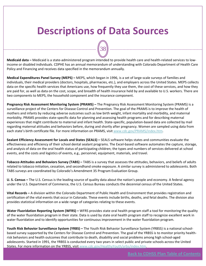### **Descriptions of Data Sources**

**Medicaid data –** Medicaid is a state‐administered program intended to provide health care and health‐related services to low‐ income or disabled individuals. CDPHE has an annual memorandum of understanding with Colorado Department of Health Care Policy and Financing and receives data specified in the memorandum annually.

38

**Medical Expenditures Panel Survey (MEPS) –** MEPS, which began in 1996, is a set of large‐scale surveys of families and individuals, their medical providers (doctors, hospitals, pharmacies, etc.), and employers across the United States. MEPS collects data on the specific health services that Americans use, how frequently they use them, the cost of these services, and how they are paid for, as well as data on the cost, scope, and breadth of health insurance held by and available to U.S. workers. There are two components to MEPS, the household component and the insurance component.

**Pregnancy Risk Assessment Monitoring System (PRAMS) –** The Pregnancy Risk Assessment Monitoring System (PRAMS) is a surveillance project of the Centers for Disease Control and Prevention. The goal of the PRAMS is to improve the health of mothers and infants by reducing adverse outcomes such as low birth weight, infant mortality and morbidity, and maternal morbidity. PRAMS provides state‐specific data for planning and assessing health programs and for describing maternal experiences that might contribute to maternal and infant health. State-specific, population-based data are collected by mail regarding maternal attitudes and behaviors before, during and shortly after pregnancy. Women are sampled using data from each state's birth certificate file. For more information on PRAMS, visit [www.cdc.gov/PRAMS/index.htm](http://www.cdc.gov/PRAMS/index.htm).

**Sealant Efficiency Assessment for Locals and States (SEALS) –** SEALS software helps states and communities evaluate the effectiveness and efficiency of their school dental sealant programs. The Excel‐based software automates the capture, storage, and analysis of data on the oral health status of participating children; the types and numbers of services delivered at school events, and the costs and logistics of events, e.g., personnel, equipment, materials, and travel.

**Tobacco Attitudes and Behaviors Survey (TABS) –** TABS is a survey that assesses the attitudes, behaviors, and beliefs of adults related to tobacco initiation, cessation, and secondhand smoke exposure. A similar survey is administered to adolescents. Both TABS surveys are coordinated by Colorado's Amendment 35 Program Evaluation Group.

**U. S. Census –** The U.S. Census is the leading source of quality data about the nation's people and economy. A federal agency under the U.S. Department of Commerce, the U.S. Census Bureau conducts the decennial census of the United States.

**Vital Records –** A division within the Colorado Department of Public Health and Environment that provides registration and certification of the vital events that occur in Colorado. These events include births, deaths, and fetal deaths. The division also provides statistical information on a wide range of categories relating to these events.

**Water Fluoridation Reporting System (WFRS) –** WFRS provides state oral health program staff a tool for monitoring the quality of the water fluoridation program in their state. Data is used by state oral health program staff to recognize excellent work in water fluoridation and to identify opportunities for continuous improvement in the water fluoridation program.

**Youth Risk Behavior Surveillance System (YRBS) –** The Youth Risk Behavior Surveillance System (YRBSS) is a national school‐ based survey supported by the Centers for Disease Control and Prevention. The goal of the YRBSS is to monitor priority healthrisk behaviors and health outcomes that contribute to death, disability and social problems among high school‐aged adolescents. Started in 1991, the YRBSS is conducted every two years in select public and private schools across the United States. For more information on the YRBSS, visit www.cdc.gov/HealthyYouth/yrbs/index.htm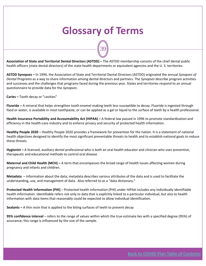### **Glossary of Terms**

39

<span id="page-38-0"></span>**Association of State and Territorial Dental Directors (ASTDD) –** The ASTDD membership consists of the chief dental public health officers (state dental directors) of the state health departments or equivalent agencies and the U. S. territories.

**ASTDD Synopses –** In 1994, the Association of State and Territorial Dental Directors (ASTDD) originated the annual *Synopses of Dental Programs* as a way to share information among dental directors and partners. The *Synopses* describe program activities and successes and the challenges that programs faced during the previous year. States and territories respond to an annual questionnaire to provide data for the *Synopses*.

**Caries –** Tooth decay or "cavities"

**Fluoride –** A mineral that helps strengthen tooth enamel making teeth less susceptible to decay. Fluoride is ingested through food or water, is available in most toothpaste, or can be applied as a gel or liquid to the surface of teeth by a health professional.

**Health Insurance Portability and Accountability Act (HIPAA) –** A federal law passed in 1996 to promote standardization and efficiency in the health‐care industry and to enforce privacy and security of protected health information.

**Healthy People 2020** – Healthy People 2020 provides a framework for prevention for the nation. It is a statement of national health objectives designed to identify the most significant preventable threats to health and to establish national goals to reduce these threats.

**Hygienist –** A licensed, auxiliary dental professional who is both an oral health educator and clinician who uses preventive, therapeutic and educational methods to control oral disease

**Maternal and Child Health (MCH) –** A term that encompasses the broad range of health issues affecting women during pregnancy and infants and children.

**Metadata** – Information about the data; metadata describes various attributes of the data and is used to facilitate the understanding, use, and management of data. Also referred to as a "data dictionary."

**Protected Health Information (PHI)** – Protected health information (PHI) under HIPAA includes any individually identifiable health information. Identifiable refers not only to data that is explicitly linked to a particular individual, but also to health information with data items that reasonably could be expected to allow individual identification.

**Sealants –** A thin resin that is applied to the biting surfaces of teeth to prevent decay

**95% confidence interval** – refers to the range of values within which the true estimate lies with a specified degree (95%) of assurance; this range is influenced by the size of the sample.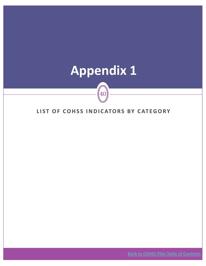# <span id="page-39-0"></span>**Appendix 1**

**LIST O F COHSS INDICATORS B Y CATEGORY**

 $40\,$ 

**Back to COHSS Plan Table of [Contents](#page-1-0)**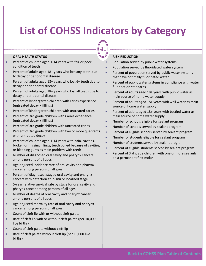41

#### **ORAL HEALTH STATUS**

- Percent of children aged 1-14 years with fair or poor condition of teeth
- Percent of adults aged 18+ years who lost any teeth due to decay or periodontal disease
- Percent of adults aged 18+ years who lost 6+ teeth due to decay or periodontal disease
- Percent of adults aged 18+ years who lost all teeth due to decay or periodontal disease
- Percent of kindergarten children with caries experience (untreated decay + fillings)
- Percent of kindergarten children with untreated caries
- Percent of 3rd grade children with Caries experience (untreated decay + fillings)
- Percent of 3rd grade children with untreated caries
- Percent of 3rd grade children with two or more quadrants with untreated decay
- Percent of children aged 1-14 years with pain, cavities, broken or missing fillings, teeth pulled because of cavities, or bleeding gums as main problem with teeth
- Number of diagnosed oral cavity and pharynx cancers among persons of all ages
- Age-adjusted incidence rate of oral cavity and pharynx cancer among persons of all ages
- Percent of diagnosed, staged oral cavity and pharynx cancers with detection at in‐situ or localized stage
- 5-year relative survival rate by stage for oral cavity and pharynx cancer among persons of all ages
- Number of deaths of oral cavity and pharynx cancer among persons of all ages
- Age-adjusted mortality rate of oral cavity and pharynx cancer among persons of all ages
- Count of cleft lip with or without cleft palate
- Rate of cleft lip with or without cleft palate (per 10,000 live births)
- Count of cleft palate without cleft lip
- Rate of cleft palate without cleft lip (per 10,000 live births)

#### **RISK REDUCTION**

- Population served by public water systems
- Population served by fluoridated water system
- $\bullet$  Percent of population served by public water systems that have optimally fluoridated water
- $\bullet$  Percent of public water systems in compliance with water fluoridation standards
- Percent of adults aged 18+ years with public water as main source of home water supply
- Percent of adults aged  $18+$  years with well water as main source of home water supply
- **Percent of adults aged 18+ years with bottled water as** main source of home water supply
- Number of schools eligible for sealant program
- Number of schools served by sealant program
- **•** Percent of eligible schools served by sealant program
- Number of students eligible for sealant program
- Number of students served by sealant program
- Percent of eligible students served by sealant program
- **•** Percent of 3rd grade children with one or more sealants on a permanent first molar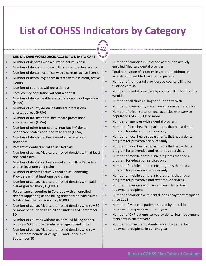42

#### **DENTAL CARE WORKFORCE/ACCESS TO DENTAL CARE**

- Number of dentists with a current, active license
- Number of dentists in state with a current, active license
- Number of dental hygienists with a current, active license
- Number of dental hygienists in state with a current, active license
- Number of counties without a dentist
- Total county population without a dentist
- Number of dental healthcare professional shortage areas (HPSA)
- Number of county dental healthcare professional shortage areas (HPSA)
- Number of facility dental healthcare professional shortage areas (HPSA)
- Number of other (non-county, non-facility) dental healthcare professional shortage areas (HPSA)
- Number of dentists actively enrolled as Medicaid providers
- Percent of dentists enrolled in Medicaid
- Number of active, Medicaid-enrolled dentists with at least one paid claim
- Number of dentists actively enrolled as Billing Providers with at least one paid claim
- Number of dentists actively enrolled as Rendering Providers with at least one paid claim
- Number of active, Medicaid-enrolled dentists with paid claims greater than \$10,000.00
- Percentage of counties in Colorado with an enrolled dentist (appearing as the billing provider) on paid claims totaling less than or equal to \$10,000.00
- Number of active, Medicaid-enrolled dentists who saw 50 or more beneficiaries age 20 and under as of September 30
- Number of counties without an enrolled billing dentist who saw 50 or more beneficiaries age 20 and under
- Number of active, Medicaid-enrolled dentists who saw 100 or more beneficiaries age 20 and under as of September 30
- $\bullet$  Number of counties in Colorado without an actively enrolled Medicaid dental provider
- Total population of counties in Colorado without an actively enrolled Medicaid dental provider
- Number of non-dental providers by county billing for fluoride varnish
- Number of dental providers by county billing for fluoride varnish
- Number of all clinics billing for fluoride varnish
- Number of community-based low-income dental clinics
- Number of tribal, state, or local agencies with service populations of 250,000 or more
- Number of agencies with a dental program
- Number of local health departments that had a dental program for education services only
- Number of local health departments that had a dental program for preventive services only
- Number of local health departments that had a dental program for preventive and restorative services
- Number of mobile dental clinic programs that had a program for education services only
- Number of mobile dental clinic programs that had a program for preventive services only
- Number of mobile dental clinic programs that had a program for preventive and restorative services
- Number of counties with current year dental loan repayment recipient
- Number of counties with dental loan repayment recipient since 2002
- Number of Medicaid patients served by dental loan repayment recipients in current year
- Number of CHP patients served by dental loan repayment recipients in current year
- Number of uninsured patients served by dental loan repayment recipients in current year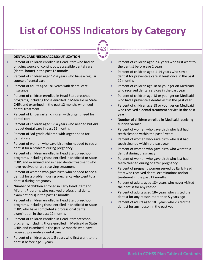43

#### **DENTAL CARE NEEDS/ACCESS/UTILIZATION**

- Percent of children enrolled in Head Start who had an ongoing source of continuous, accessible dental care (dental home) in the past 12 months
- Percent of children aged 1-14 years who have a regular source of dental care
- Percent of adults aged 18+ years with dental care insurance
- Percent of children enrolled in Head Start preschool programs, including those enrolled in Medicaid or State CHIP, and examined in the past 12 months who need dental treatment
- Percent of kindergarten children with urgent need for dental care
- Percent of children aged 1-14 years who needed but did not get dental care in past 12 months
- Percent of 3rd grade children with urgent need for dental care
- Percent of women who gave birth who needed to see a dentist for a problem during pregnancy
- Percent of children enrolled in Head Start preschool programs, including those enrolled in Medicaid or State CHIP, and examined and in need dental treatment who have received or are receiving treatment
- **•** Percent of women who gave birth who needed to see a dentist for a problem during pregnancy who went to a dentist during pregnancy
- Number of children enrolled in Early Head Start and Migrant Programs who received professional dental examination(s) in the past 12 months
- Percent of children enrolled in Head Start preschool programs, including those enrolled in Medicaid or State CHIP, who have completed a professional dental examination in the past 12 months
- Percent of children enrolled in Head Start preschool programs, including those enrolled in Medicaid or State CHIP, and examined in the past 12 months who have received preventive dental care
- Percent of children aged 1-5 years who first went to the dentist before age 1 years
- Percent of children aged 2-6 years who first went to the dentist before age 2 years
- Percent of children aged 1-14 years who saw a dentist for preventive care at least once in the past 12 months
- Percent of children age 18 or younger on Medicaid who received dental services in the past year
- Percent of children age 18 or younger on Medicaid who had a preventive dental visit in the past year
- Percent of children age 18 or younger on Medicaid who received a dental treatment service in the past year
- Number of children enrolled in Medicaid receiving fluoride varnish
- Percent of women who gave birth who last had teeth cleaned within the past 2 years
- Percent of women who gave birth who last had teeth cleaned within the past year
- Percent of women who gave birth who went to a dentist during pregnancy
- Percent of women who gave birth who last had teeth cleaned during or after pregnancy
- Percent of pregnant women served by Early Head Start who received dental examinations and/or treatment in the past 12 months
- Percent of adults aged 18+ years who never visited the dentist for any reason
- Percent of adults aged 18+ years who visited the dentist for any reason more than 5 years ago
- Percent of adults aged 18+ years who visited the dentist for any reason in the past year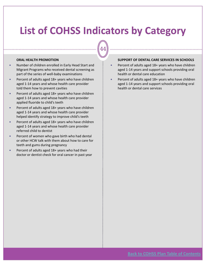44

#### **ORAL HEALTH PROMOTION**

- Number of children enrolled in Early Head Start and Migrant Programs who received dental screening as part of the series of well‐baby examinations
- Percent of adults aged 18+ years who have children aged 1‐14 years and whose health care provider told them how to prevent cavities
- Percent of adults aged 18+ years who have children aged 1‐14 years and whose health care provider applied fluoride to child's teeth
- Percent of adults aged  $18+$  years who have children aged 1‐14 years and whose health care provider helped identify strategy to improve child's teeth
- Percent of adults aged 18+ years who have children aged 1‐14 years and whose health care provider referred child to dentist
- Percent of women who gave birth who had dental or other HCW talk with them about how to care for teeth and gums during pregnancy
- Percent of adults aged 18+ years who had their doctor or dentist check for oral cancer in past year

#### **SUPPORT OF DENTAL CARE SERVICES IN SCHOOLS**

- Percent of adults aged 18+ years who have children aged 1‐14 years and support schools providing oral health or dental care education
- Percent of adults aged 18+ years who have children aged 1‐14 years and support schools providing oral health or dental care services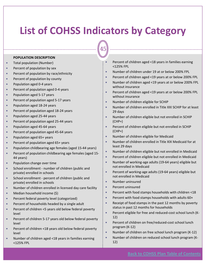45

#### **POPULATION DESCRIPTION**

- Total population (Number)
- $\bullet$  Percent of population by sex
- Percent of population by race/ethnicity
- Percent of population by county
- Population aged 0-4 years
- Percent of population aged 0-4 years
- Population aged 5-17 years
- Percent of population aged 5-17 years
- Population aged 18-24 years
- Percent of population aged 18-24 years
- Population aged 25-44 years
- Percent of population aged 25-44 years
- Population aged 45-64 years
- Percent of population aged 45-64 years
- Population aged 65+ years
- Percent of population aged 65+ years
- Population childbearing age females (aged 15-44 years)
- Percent of population childbearing age females (aged 15-44 years)
- Population change over time
- School enrollment number of children (public and private) enrolled in schools
- School enrollment percent of children (public and private) enrolled in schools
- Number of children enrolled in licensed day care facility
- y Median household income (\$)
- Percent federal poverty level (categorized)
- Percent of households headed by a single adult
- Percent of children <5 years old below federal poverty level
- Percent of children 5-17 years old below federal poverty level
- Percent of children <18 years old below federal poverty level
- Number of children aged <18 years in families earning <125% FPL
- Percent of children aged <18 years in families earning <125% FPL
- Number of children under 19 at or below 200% FPL
- Percent of children aged <19 years at or below 200% FPL
- Number of children aged <19 years at or below 200% FPL without insurance
- Percent of children aged <19 years at or below 200% FPL without insurance
- Number of children eligible for SCHIP
- Number of children enrolled in Title XXI SCHIP for at least 29 days
- Number of children eligible but not enrolled in SCHIP (CHP+)
- Percent of children eligible but not enrolled in SCHIP (CHP+)
- Number of children eligible for Medicaid
- Number of children enrolled in Title XIX Medicaid for at least 29 days
- Number of children eligible but not enrolled in Medicaid
- **•** Percent of children eligible but not enrolled in Medicaid
- Number of working-age adults (19-64 years) eligible but not enrolled in Medicaid
- Percent of working-age adults (19-64 years) eligible but not enrolled in Medicaid
- Number uninsured
- Percent uninsured
- **•** Percent with food stamps households with children <18
- Percent with food stamps households with adults 60+
- Receipt of food stamps in the past 12 months by poverty status in past 12 months for households
- Percent eligible for free and reduced-cost school lunch (K-12)
- Percent of children on free/reduced-cost school lunch program (K‐12)
- Number of children on free school lunch program  $(K-12)$
- Number of children on reduced school lunch program (K-12)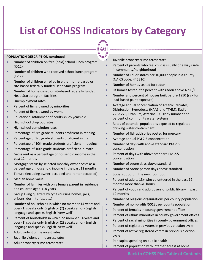46

#### **POPULATION DESCRIPTION continued**

- Number of children on free (paid) school lunch program (K‐12)
- Number of children who received school lunch program (K‐12)
- Number of children enrolled in either home-based or site‐based federally funded Head Start program
- Number of home-based or site-based federally funded Head Start program facilities
- Unemployment rates
- Percent of firms owned by minorities
- Percent of firms owned by women
- Educational attainment of adults => 25 years old
- High school drop out rates
- High school completion rates
- Percentage of 3rd grade students proficient in reading
- Percentage of 3rd grade students proficient in math
- Percentage of 10th grade students proficient in reading
- Percentage of 10th grade students proficient in math
- Gross rent as a percentage of household income in the past 12 months
- Mortgage status by selected monthly owner costs as a percentage of household income in the past 12 months
- Tenure (including owner-occupied and renter occupied)
- Median home value
- Number of families with only female parent in residence and children aged <18 years
- Group living quarters by type (nursing homes, jails, prisons, dormitories, etc.)
- Number of households in which no member 14 years and over (1) speaks only English or (2) speaks a non‐English language and speaks English "very well"
- Percent of households in which no member 14 years and over (1) speaks only English or (2) speaks a non‐English language and speaks English "very well"
- Adult violent crime arrest rates
- Juvenile violent crime arrest rates
- Adult property crime arrest rates

Juvenile property crime arrest rates

- Percent of parents who feel child is usually or always safe in community/neighborhood
- Number of liquor stores per 10,000 people in a county (NAICS code: 445310)
- Number of homes tested for radon
- $\bullet$  Of homes tested, the percent with radon above 4 piC/L
- Number and percent of houses built before 1950 (risk for lead‐based paint exposure)
- Average annual concentration of Arsenic, Nitrates, Disinfection Byproducts (HAA5 and TTHM), Radium 226&228, Uranium, Atrazine, DEHP by number and percent of community water systems
- Rates of potential populations exposed to regulated drinking water contaminant
- Number of fish advisories posted for mercury
- Average annual PM 2.5 concentration
- Number of days with above standard PM 2.5 concentration
- **•** Percent of days with above standard PM 2.5 concentration
- Number of ozone days above standard
- Number of ozone person days above standard
- Social support in the neighborhood
- Percent of adults 18+ who volunteered in the past 12 months more than 40 hours
- Percent of youth and adult users of public library in past 12 months
- Number of religious organizations per county population
- Number of non-profits/5013c per county population
- Percent of females in county government offices
- Percent of ethnic minorities in county government offices
- $\bullet$  Percent of racial minorities in county government offices
- **•** Percent of registered voters in previous election cycle
- **•** Percent of active registered voters in previous election cycle
- Per capita spending on public health
- **•** Percent of population with internet access at home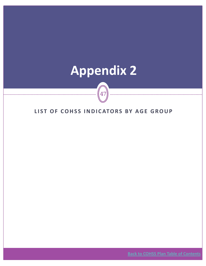# <span id="page-46-0"></span>**Appendix 2**

**LIST O F COHSS INDICATORS B Y AGE GROUP**

47

**Back to COHSS Plan Table of [Contents](#page-1-0)**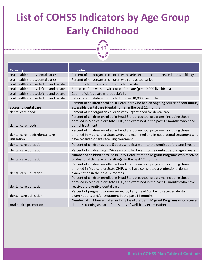## **List of COHSS Indicators by Age Group Early Childhood**

48

| Category                                     | <b>Indicator</b>                                                                                                                                                                                                |
|----------------------------------------------|-----------------------------------------------------------------------------------------------------------------------------------------------------------------------------------------------------------------|
| oral health status/dental caries             | Percent of kindergarten children with caries experience (untreated decay + fillings)                                                                                                                            |
| oral health status/dental caries             | Percent of kindergarten children with untreated caries                                                                                                                                                          |
| oral health status/cleft lip and palate      | Count of cleft lip with or without cleft palate                                                                                                                                                                 |
| oral health status/cleft lip and palate      | Rate of cleft lip with or without cleft palate (per 10,000 live births)                                                                                                                                         |
| oral health status/cleft lip and palate      | Count of cleft palate without cleft lip                                                                                                                                                                         |
| oral health status/cleft lip and palate      | Rate of cleft palate without cleft lip (per 10,000 live births)                                                                                                                                                 |
| access to dental care                        | Percent of children enrolled in Head Start who had an ongoing source of continuous,<br>accessible dental care (dental home) in the past 12 months                                                               |
| dental care needs                            | Percent of kindergarten children with urgent need for dental care                                                                                                                                               |
| dental care needs                            | Percent of children enrolled in Head Start preschool programs, including those<br>enrolled in Medicaid or State CHIP, and examined in the past 12 months who need<br>dental treatment                           |
| dental care needs/dental care<br>utilization | Percent of children enrolled in Head Start preschool programs, including those<br>enrolled in Medicaid or State CHIP, and examined and in need dental treatment who<br>have received or are receiving treatment |
| dental care utilization                      | Percent of children aged 1-5 years who first went to the dentist before age 1 years                                                                                                                             |
| dental care utilization                      | Percent of children aged 2-6 years who first went to the dentist before age 2 years                                                                                                                             |
| dental care utilization                      | Number of children enrolled in Early Head Start and Migrant Programs who received<br>professional dental examination(s) in the past 12 months                                                                   |
| dental care utilization                      | Percent of children enrolled in Head Start preschool programs, including those<br>enrolled in Medicaid or State CHIP, who have completed a professional dental<br>examination in the past 12 months             |
| dental care utilization                      | Percent of children enrolled in Head Start preschool programs, including those<br>enrolled in Medicaid or State CHIP, and examined in the past 12 months who have<br>received preventive dental care            |
| dental care utilization                      | Percent of pregnant women served by Early Head Start who received dental<br>examinations and/or treatment in the past 12 months                                                                                 |
| oral health promotion                        | Number of children enrolled in Early Head Start and Migrant Programs who received<br>dental screening as part of the series of well-baby examinations                                                           |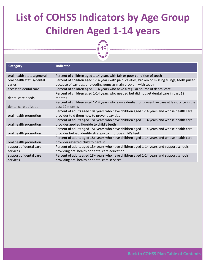# **List of COHSS Indicators by Age Group Children Aged 1‐14 years**

49

| <b>Category</b>                     | <b>Indicator</b>                                                                                                                                                      |
|-------------------------------------|-----------------------------------------------------------------------------------------------------------------------------------------------------------------------|
| oral health status/general          | Percent of children aged 1-14 years with fair or poor condition of teeth                                                                                              |
| oral health status/dental<br>caries | Percent of children aged 1-14 years with pain, cavities, broken or missing fillings, teeth pulled<br>because of cavities, or bleeding gums as main problem with teeth |
| access to dental care               | Percent of children aged 1-14 years who have a regular source of dental care                                                                                          |
| dental care needs                   | Percent of children aged 1-14 years who needed but did not get dental care in past 12<br>months                                                                       |
| dental care utilization             | Percent of children aged 1-14 years who saw a dentist for preventive care at least once in the<br>past 12 months                                                      |
| oral health promotion               | Percent of adults aged 18+ years who have children aged 1-14 years and whose health care<br>provider told them how to prevent cavities                                |
| oral health promotion               | Percent of adults aged 18+ years who have children aged 1-14 years and whose health care<br>provider applied fluoride to child's teeth                                |
| oral health promotion               | Percent of adults aged 18+ years who have children aged 1-14 years and whose health care<br>provider helped identify strategy to improve child's teeth                |
| oral health promotion               | Percent of adults aged 18+ years who have children aged 1-14 years and whose health care<br>provider referred child to dentist                                        |
| support of dental care<br>services  | Percent of adults aged 18+ years who have children aged 1-14 years and support schools<br>providing oral health or dental care education                              |
| support of dental care<br>services  | Percent of adults aged 18+ years who have children aged 1-14 years and support schools<br>providing oral health or dental care services                               |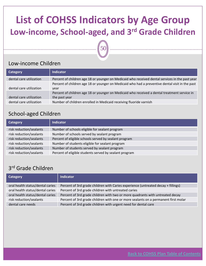### **List of COHSS Indicators by Age Group Low‐income, School‐aged, and 3rd Grade Children**

# 50

#### Low‐income Children

| <b>Category</b>         | <b>Indicator</b>                                                                                              |
|-------------------------|---------------------------------------------------------------------------------------------------------------|
| dental care utilization | Percent of children age 18 or younger on Medicaid who received dental services in the past year               |
| dental care utilization | Percent of children age 18 or younger on Medicaid who had a preventive dental visit in the past<br>vear       |
| dental care utilization | Percent of children age 18 or younger on Medicaid who received a dental treatment service in<br>the past year |
| dental care utilization | Number of children enrolled in Medicaid receiving fluoride varnish                                            |

#### School‐aged Children

| <b>Category</b>         | Indicator                                              |
|-------------------------|--------------------------------------------------------|
| risk reduction/sealants | Number of schools eligible for sealant program         |
| risk reduction/sealants | Number of schools served by sealant program            |
| risk reduction/sealants | Percent of eligible schools served by sealant program  |
| risk reduction/sealants | Number of students eligible for sealant program        |
| risk reduction/sealants | Number of students served by sealant program           |
| risk reduction/sealants | Percent of eligible students served by sealant program |

#### 3rd Grade Children

| <b>Category</b>                  | <b>Indicator</b>                                                                   |
|----------------------------------|------------------------------------------------------------------------------------|
| oral health status/dental caries | Percent of 3rd grade children with Caries experience (untreated decay + fillings)  |
| oral health status/dental caries | Percent of 3rd grade children with untreated caries                                |
| oral health status/dental caries | Percent of 3rd grade children with two or more quadrants with untreated decay      |
| risk reduction/sealants          | Percent of 3rd grade children with one or more sealants on a permanent first molar |
| dental care needs                | Percent of 3rd grade children with urgent need for dental care                     |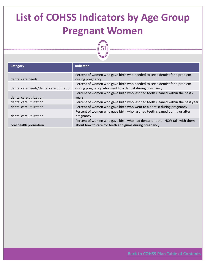# **List of COHSS Indicators by Age Group Pregnant Women**

51

| <b>Category</b>                           | <b>Indicator</b>                                                                |
|-------------------------------------------|---------------------------------------------------------------------------------|
|                                           | Percent of women who gave birth who needed to see a dentist for a problem       |
| dental care needs                         | during pregnancy                                                                |
|                                           | Percent of women who gave birth who needed to see a dentist for a problem       |
| dental care needs/dental care utilization | during pregnancy who went to a dentist during pregnancy                         |
|                                           | Percent of women who gave birth who last had teeth cleaned within the past 2    |
| dental care utilization                   | <b>vears</b>                                                                    |
| dental care utilization                   | Percent of women who gave birth who last had teeth cleaned within the past year |
| dental care utilization                   | Percent of women who gave birth who went to a dentist during pregnancy          |
|                                           | Percent of women who gave birth who last had teeth cleaned during or after      |
| dental care utilization                   | pregnancy                                                                       |
|                                           | Percent of women who gave birth who had dental or other HCW talk with them      |
| oral health promotion                     | about how to care for teeth and gums during pregnancy                           |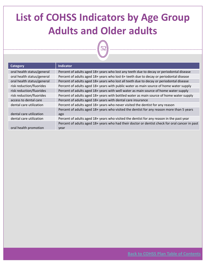## **List of COHSS Indicators by Age Group Adults and Older adults**

52

| <b>Category</b>            | <b>Indicator</b>                                                                               |
|----------------------------|------------------------------------------------------------------------------------------------|
| oral health status/general | Percent of adults aged 18+ years who lost any teeth due to decay or periodontal disease        |
| oral health status/general | Percent of adults aged 18+ years who lost 6+ teeth due to decay or periodontal disease         |
| oral health status/general | Percent of adults aged 18+ years who lost all teeth due to decay or periodontal disease        |
| risk reduction/fluorides   | Percent of adults aged 18+ years with public water as main source of home water supply         |
| risk reduction/fluorides   | Percent of adults aged 18+ years with well water as main source of home water supply           |
| risk reduction/fluorides   | Percent of adults aged 18+ years with bottled water as main source of home water supply        |
| access to dental care      | Percent of adults aged 18+ years with dental care insurance                                    |
| dental care utilization    | Percent of adults aged 18+ years who never visited the dentist for any reason                  |
|                            | Percent of adults aged 18+ years who visited the dentist for any reason more than 5 years      |
| dental care utilization    | ago                                                                                            |
| dental care utilization    | Percent of adults aged 18+ years who visited the dentist for any reason in the past year       |
|                            | Percent of adults aged 18+ years who had their doctor or dentist check for oral cancer in past |
| oral health promotion      | year                                                                                           |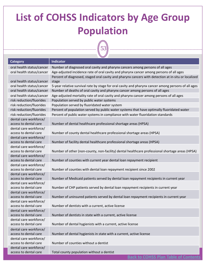## **List of COHSS Indicators by Age Group Population**

 $\sqrt{\phantom{a}}$ 

| <b>Category</b>                                 | <b>Indicator</b>                                                                                    |
|-------------------------------------------------|-----------------------------------------------------------------------------------------------------|
| oral health status/cancer                       | Number of diagnosed oral cavity and pharynx cancers among persons of all ages                       |
| oral health status/cancer                       | Age-adjusted incidence rate of oral cavity and pharynx cancer among persons of all ages             |
|                                                 | Percent of diagnosed, staged oral cavity and pharynx cancers with detection at in-situ or localized |
| oral health status/cancer                       | stage                                                                                               |
| oral health status/cancer                       | 5-year relative survival rate by stage for oral cavity and pharynx cancer among persons of all ages |
| oral health status/cancer                       | Number of deaths of oral cavity and pharynx cancer among persons of all ages                        |
| oral health status/cancer                       | Age-adjusted mortality rate of oral cavity and pharynx cancer among persons of all ages             |
| risk reduction/fluorides                        | Population served by public water systems                                                           |
| risk reduction/fluorides                        | Population served by fluoridated water system                                                       |
| risk reduction/fluorides                        | Percent of population served by public water systems that have optimally fluoridated water          |
| risk reduction/fluorides                        | Percent of public water systems in compliance with water fluoridation standards                     |
| dental care workforce/                          |                                                                                                     |
| access to dental care                           | Number of dental healthcare professional shortage areas (HPSA)                                      |
| dental care workforce/                          |                                                                                                     |
| access to dental care                           | Number of county dental healthcare professional shortage areas (HPSA)                               |
| dental care workforce/                          |                                                                                                     |
| access to dental care                           | Number of facility dental healthcare professional shortage areas (HPSA)                             |
| dental care workforce/                          |                                                                                                     |
| access to dental care                           | Number of other (non-county, non-facility) dental healthcare professional shortage areas (HPSA)     |
| dental care workforce/                          |                                                                                                     |
| access to dental care                           | Number of counties with current year dental loan repayment recipient                                |
| dental care workforce/                          |                                                                                                     |
| access to dental care                           | Number of counties with dental loan repayment recipient since 2002                                  |
| dental care workforce/<br>access to dental care | Number of Medicaid patients served by dental loan repayment recipients in current year              |
| dental care workforce/                          |                                                                                                     |
| access to dental care                           | Number of CHP patients served by dental loan repayment recipients in current year                   |
| dental care workforce/                          |                                                                                                     |
| access to dental care                           | Number of uninsured patients served by dental loan repayment recipients in current year             |
| dental care workforce/                          |                                                                                                     |
| access to dental care                           | Number of dentists with a current, active license                                                   |
| dental care workforce/                          |                                                                                                     |
| access to dental care                           | Number of dentists in state with a current, active license                                          |
| dental care workforce/                          |                                                                                                     |
| access to dental care                           | Number of dental hygienists with a current, active license                                          |
| dental care workforce/                          |                                                                                                     |
| access to dental care                           | Number of dental hygienists in state with a current, active license                                 |
| dental care workforce/                          |                                                                                                     |
| access to dental care                           | Number of counties without a dentist                                                                |
| dental care workforce/                          |                                                                                                     |
| access to dental care                           | Total county population without a dentist                                                           |